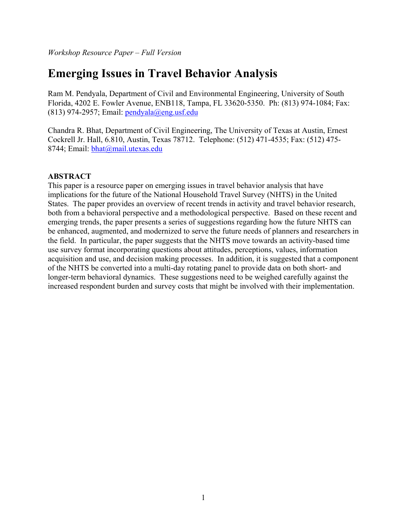# **Emerging Issues in Travel Behavior Analysis**

Ram M. Pendyala, Department of Civil and Environmental Engineering, University of South Florida, 4202 E. Fowler Avenue, ENB118, Tampa, FL 33620-5350. Ph: (813) 974-1084; Fax: (813) 974-2957; Email:  $pendyala@eng.usf.edu$ 

Chandra R. Bhat, Department of Civil Engineering, The University of Texas at Austin, Ernest Cockrell Jr. Hall, 6.810, Austin, Texas 78712. Telephone: (512) 471-4535; Fax: (512) 475- 8744; Email: [bhat@mail.utexas.edu](mailto:bhat@mail.utexas.edu)

## **ABSTRACT**

This paper is a resource paper on emerging issues in travel behavior analysis that have implications for the future of the National Household Travel Survey (NHTS) in the United States. The paper provides an overview of recent trends in activity and travel behavior research, both from a behavioral perspective and a methodological perspective. Based on these recent and emerging trends, the paper presents a series of suggestions regarding how the future NHTS can be enhanced, augmented, and modernized to serve the future needs of planners and researchers in the field. In particular, the paper suggests that the NHTS move towards an activity-based time use survey format incorporating questions about attitudes, perceptions, values, information acquisition and use, and decision making processes. In addition, it is suggested that a component of the NHTS be converted into a multi-day rotating panel to provide data on both short- and longer-term behavioral dynamics. These suggestions need to be weighed carefully against the increased respondent burden and survey costs that might be involved with their implementation.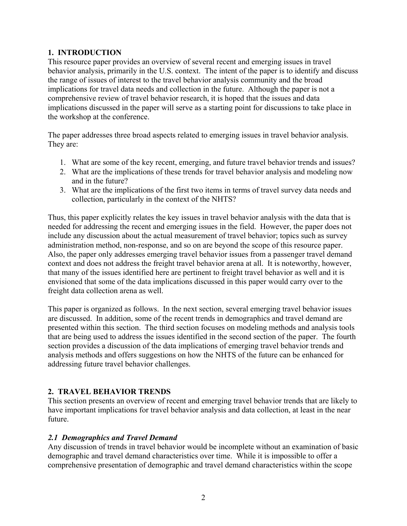### **1. INTRODUCTION**

This resource paper provides an overview of several recent and emerging issues in travel behavior analysis, primarily in the U.S. context. The intent of the paper is to identify and discuss the range of issues of interest to the travel behavior analysis community and the broad implications for travel data needs and collection in the future. Although the paper is not a comprehensive review of travel behavior research, it is hoped that the issues and data implications discussed in the paper will serve as a starting point for discussions to take place in the workshop at the conference.

The paper addresses three broad aspects related to emerging issues in travel behavior analysis. They are:

- 1. What are some of the key recent, emerging, and future travel behavior trends and issues?
- 2. What are the implications of these trends for travel behavior analysis and modeling now and in the future?
- 3. What are the implications of the first two items in terms of travel survey data needs and collection, particularly in the context of the NHTS?

Thus, this paper explicitly relates the key issues in travel behavior analysis with the data that is needed for addressing the recent and emerging issues in the field. However, the paper does not include any discussion about the actual measurement of travel behavior; topics such as survey administration method, non-response, and so on are beyond the scope of this resource paper. Also, the paper only addresses emerging travel behavior issues from a passenger travel demand context and does not address the freight travel behavior arena at all. It is noteworthy, however, that many of the issues identified here are pertinent to freight travel behavior as well and it is envisioned that some of the data implications discussed in this paper would carry over to the freight data collection arena as well.

This paper is organized as follows. In the next section, several emerging travel behavior issues are discussed. In addition, some of the recent trends in demographics and travel demand are presented within this section. The third section focuses on modeling methods and analysis tools that are being used to address the issues identified in the second section of the paper. The fourth section provides a discussion of the data implications of emerging travel behavior trends and analysis methods and offers suggestions on how the NHTS of the future can be enhanced for addressing future travel behavior challenges.

# **2. TRAVEL BEHAVIOR TRENDS**

This section presents an overview of recent and emerging travel behavior trends that are likely to have important implications for travel behavior analysis and data collection, at least in the near future.

#### *2.1 Demographics and Travel Demand*

Any discussion of trends in travel behavior would be incomplete without an examination of basic demographic and travel demand characteristics over time. While it is impossible to offer a comprehensive presentation of demographic and travel demand characteristics within the scope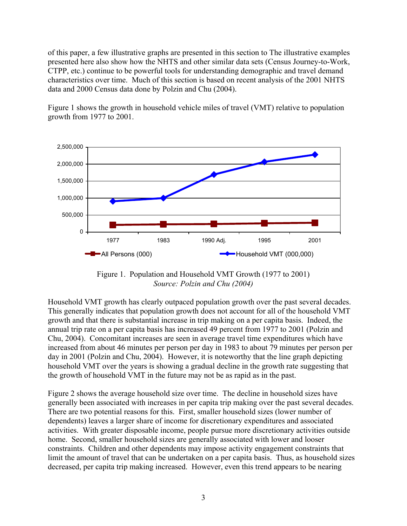of this paper, a few illustrative graphs are presented in this section to The illustrative examples presented here also show how the NHTS and other similar data sets (Census Journey-to-Work, CTPP, etc.) continue to be powerful tools for understanding demographic and travel demand characteristics over time. Much of this section is based on recent analysis of the 2001 NHTS data and 2000 Census data done by Polzin and Chu (2004).

Figure 1 shows the growth in household vehicle miles of travel (VMT) relative to population growth from 1977 to 2001.



Figure 1. Population and Household VMT Growth (1977 to 2001) *Source: Polzin and Chu (2004)*

Household VMT growth has clearly outpaced population growth over the past several decades. This generally indicates that population growth does not account for all of the household VMT growth and that there is substantial increase in trip making on a per capita basis. Indeed, the annual trip rate on a per capita basis has increased 49 percent from 1977 to 2001 (Polzin and Chu, 2004). Concomitant increases are seen in average travel time expenditures which have increased from about 46 minutes per person per day in 1983 to about 79 minutes per person per day in 2001 (Polzin and Chu, 2004). However, it is noteworthy that the line graph depicting household VMT over the years is showing a gradual decline in the growth rate suggesting that the growth of household VMT in the future may not be as rapid as in the past.

Figure 2 shows the average household size over time. The decline in household sizes have generally been associated with increases in per capita trip making over the past several decades. There are two potential reasons for this. First, smaller household sizes (lower number of dependents) leaves a larger share of income for discretionary expenditures and associated activities. With greater disposable income, people pursue more discretionary activities outside home. Second, smaller household sizes are generally associated with lower and looser constraints. Children and other dependents may impose activity engagement constraints that limit the amount of travel that can be undertaken on a per capita basis. Thus, as household sizes decreased, per capita trip making increased. However, even this trend appears to be nearing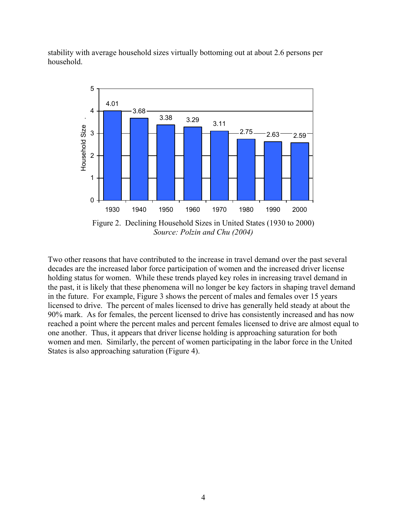stability with average household sizes virtually bottoming out at about 2.6 persons per household.



Two other reasons that have contributed to the increase in travel demand over the past several the past, it is likely that these phenomena will no longer be key factors in shaping travel demand licensed to drive. The percent of males licensed to drive has generally held steady at about the women and men. Similarly, the percent of women participating in the labor force in the United decades are the increased labor force participation of women and the increased driver license holding status for women. While these trends played key roles in increasing travel demand in in the future. For example, Figure 3 shows the percent of males and females over 15 years 90% mark. As for females, the percent licensed to drive has consistently increased and has now reached a point where the percent males and percent females licensed to drive are almost equal to one another. Thus, it appears that driver license holding is approaching saturation for both States is also approaching saturation (Figure 4).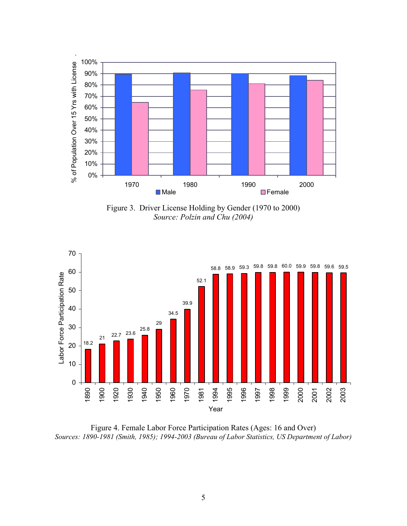

Figure 3. Driver License Holding by Gender (1970 to 2000) *Source: Polzin and Chu (2004)*



Figure 4. Female Labor Force Participation Rates (Ages: 16 and Over) *Sources: 1890-1981 (Smith, 1985); 1994-2003 (Bureau of Labor Statistics, US Department of Labor)*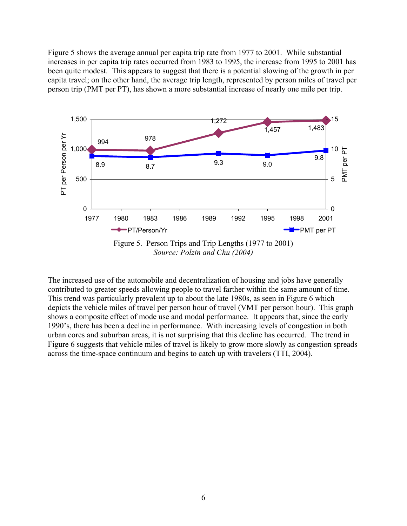Figure 5 shows the average annual per capita trip rate from 1977 to 2001. While substantial increases in per capita trip rates occurred from 1983 to 1995, the increase from 1995 to 2001 has been quite modest. This appears to suggest that there is a potential slowing of the growth in per capita travel; on the other hand, the average trip length, represented by person miles of travel per person trip (PMT per PT), has shown a more substantial increase of nearly one mile per trip.



The increased use of the automobile and decentralization of housing and jobs have generally contributed to greater speeds allowing people to travel farther within the same amount of time. This trend was particularly prevalent up to about the late 1980s, as seen in Figure 6 which depicts the vehicle miles of travel per person hour of travel (VMT per person hour). This graph shows a composite effect of mode use and modal performance. It appears that, since the early 1990's, there has been a decline in performance. With increasing levels of congestion in both urban cores and suburban areas, it is not surprising that this decline has occurred. The trend in Figure 6 suggests that vehicle miles of travel is likely to grow more slowly as congestion spreads across the time-space continuum and begins to catch up with travelers (TTI, 2004).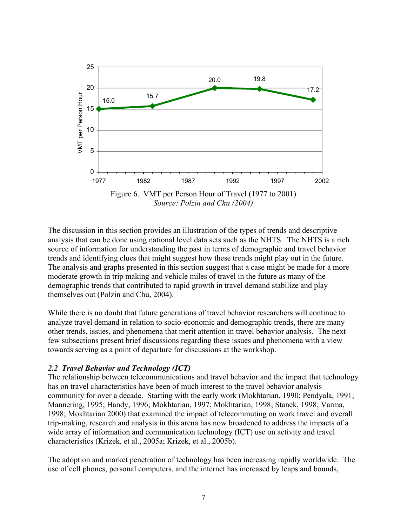

The discussion in this section provides an illustration of the types of trends and descriptive analysis that can be done using national level data sets such as the NHTS. The NHTS is a rich source of information for understanding the past in terms of demographic and travel behavior trends and identifying clues that might suggest how these trends might play out in the future. The analysis and graphs presented in this section suggest that a case might be made for a more moderate growth in trip making and vehicle miles of travel in the future as many of the demographic trends that contributed to rapid growth in travel demand stabilize and play themselves out (Polzin and Chu, 2004).

While there is no doubt that future generations of travel behavior researchers will continue to analyze travel demand in relation to socio-economic and demographic trends, there are many other trends, issues, and phenomena that merit attention in travel behavior analysis. The next few subsections present brief discussions regarding these issues and phenomena with a view towards serving as a point of departure for discussions at the workshop.

#### *2.2 Travel Behavior and Technology (ICT)*

The relationship between telecommunications and travel behavior and the impact that technology has on travel characteristics have been of much interest to the travel behavior analysis community for over a decade. Starting with the early work (Mokhtarian, 1990; Pendyala, 1991; Mannering, 1995; Handy, 1996; Mokhtarian, 1997; Mokhtarian, 1998; Stanek, 1998; Varma, 1998; Mokhtarian 2000) that examined the impact of telecommuting on work travel and overall trip-making, research and analysis in this arena has now broadened to address the impacts of a wide array of information and communication technology (ICT) use on activity and travel characteristics (Krizek, et al., 2005a; Krizek, et al., 2005b).

The adoption and market penetration of technology has been increasing rapidly worldwide. The use of cell phones, personal computers, and the internet has increased by leaps and bounds,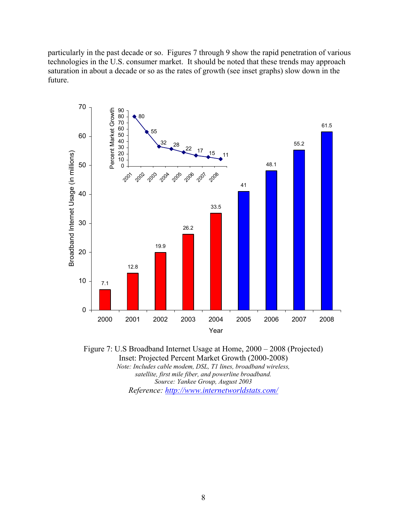particularly in the past decade or so. Figures 7 through 9 show the rapid penetration of various technologies in the U.S. consumer market. It should be noted that these trends may approach saturation in about a decade or so as the rates of growth (see inset graphs) slow down in the future.



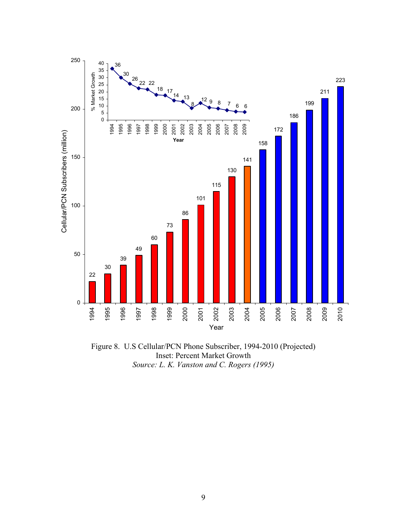

Figure 8. U.S Cellular/PCN Phone Subscriber, 1994-2010 (Projected) Inset: Percent Market Growth *Source: L. K. Vanston and C. Rogers (1995)*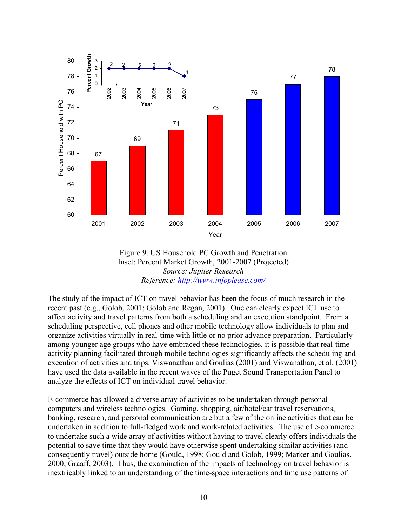



The study of the impact of ICT on travel behavior has been the focus of much research in the recent past (e.g., Golob, 2001; Golob and Regan, 2001). One can clearly expect ICT use to affect activity and travel patterns from both a scheduling and an execution standpoint. From a scheduling perspective, cell phones and other mobile technology allow individuals to plan and organize activities virtually in real-time with little or no prior advance preparation. Particularly among younger age groups who have embraced these technologies, it is possible that real-time activity planning facilitated through mobile technologies significantly affects the scheduling and execution of activities and trips. Viswanathan and Goulias (2001) and Viswanathan, et al. (2001) have used the data available in the recent waves of the Puget Sound Transportation Panel to analyze the effects of ICT on individual travel behavior.

E-commerce has allowed a diverse array of activities to be undertaken through personal computers and wireless technologies. Gaming, shopping, air/hotel/car travel reservations, banking, research, and personal communication are but a few of the online activities that can be undertaken in addition to full-fledged work and work-related activities. The use of e-commerce to undertake such a wide array of activities without having to travel clearly offers individuals the potential to save time that they would have otherwise spent undertaking similar activities (and consequently travel) outside home (Gould, 1998; Gould and Golob, 1999; Marker and Goulias, 2000; Graaff, 2003). Thus, the examination of the impacts of technology on travel behavior is inextricably linked to an understanding of the time-space interactions and time use patterns of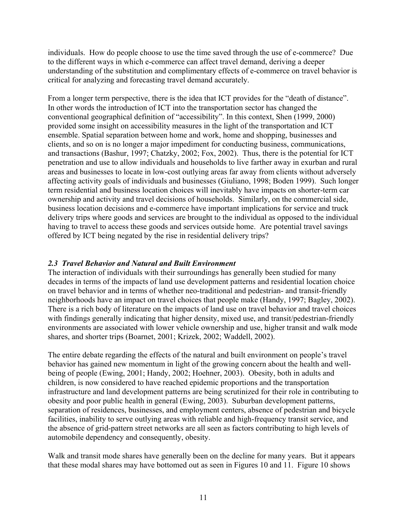individuals. How do people choose to use the time saved through the use of e-commerce? Due to the different ways in which e-commerce can affect travel demand, deriving a deeper understanding of the substitution and complimentary effects of e-commerce on travel behavior is critical for analyzing and forecasting travel demand accurately.

From a longer term perspective, there is the idea that ICT provides for the "death of distance". In other words the introduction of ICT into the transportation sector has changed the conventional geographical definition of "accessibility". In this context, Shen (1999, 2000) provided some insight on accessibility measures in the light of the transportation and ICT ensemble. Spatial separation between home and work, home and shopping, businesses and clients, and so on is no longer a major impediment for conducting business, communications, and transactions (Bashur, 1997; Chatzky, 2002; Fox, 2002). Thus, there is the potential for ICT penetration and use to allow individuals and households to live farther away in exurban and rural areas and businesses to locate in low-cost outlying areas far away from clients without adversely affecting activity goals of individuals and businesses (Giuliano, 1998; Boden 1999). Such longer term residential and business location choices will inevitably have impacts on shorter-term car ownership and activity and travel decisions of households. Similarly, on the commercial side, business location decisions and e-commerce have important implications for service and truck delivery trips where goods and services are brought to the individual as opposed to the individual having to travel to access these goods and services outside home. Are potential travel savings offered by ICT being negated by the rise in residential delivery trips?

#### *2.3 Travel Behavior and Natural and Built Environment*

The interaction of individuals with their surroundings has generally been studied for many decades in terms of the impacts of land use development patterns and residential location choice on travel behavior and in terms of whether neo-traditional and pedestrian- and transit-friendly neighborhoods have an impact on travel choices that people make (Handy, 1997; Bagley, 2002). There is a rich body of literature on the impacts of land use on travel behavior and travel choices with findings generally indicating that higher density, mixed use, and transit/pedestrian-friendly environments are associated with lower vehicle ownership and use, higher transit and walk mode shares, and shorter trips (Boarnet, 2001; Krizek, 2002; Waddell, 2002).

The entire debate regarding the effects of the natural and built environment on people's travel behavior has gained new momentum in light of the growing concern about the health and wellbeing of people (Ewing, 2001; Handy, 2002; Hoehner, 2003). Obesity, both in adults and children, is now considered to have reached epidemic proportions and the transportation infrastructure and land development patterns are being scrutinized for their role in contributing to obesity and poor public health in general (Ewing, 2003). Suburban development patterns, separation of residences, businesses, and employment centers, absence of pedestrian and bicycle facilities, inability to serve outlying areas with reliable and high-frequency transit service, and the absence of grid-pattern street networks are all seen as factors contributing to high levels of automobile dependency and consequently, obesity.

Walk and transit mode shares have generally been on the decline for many years. But it appears that these modal shares may have bottomed out as seen in Figures 10 and 11. Figure 10 shows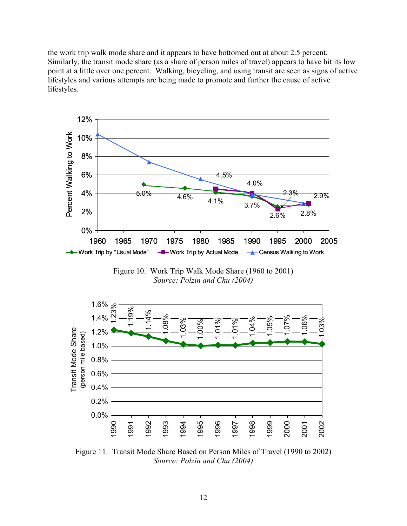the work trip walk mode share and it appears to have bottomed out at about 2.5 percent. Similarly, the transit mode share (as a share of person miles of travel) appears to have hit its low point at a little over one percent. Walking, bicycling, and using transit are seen as signs of active lifestyles and various attempts are being made to promote and further the cause of active lifestyles.



Figure 10. Work Trip Walk Mode Share (1960 to 2001) *Source: Polzin and Chu (2004)*



Figure 11. Transit Mode Share Based on Person Miles of Travel (1990 to 2002) *Source: Polzin and Chu (2004)*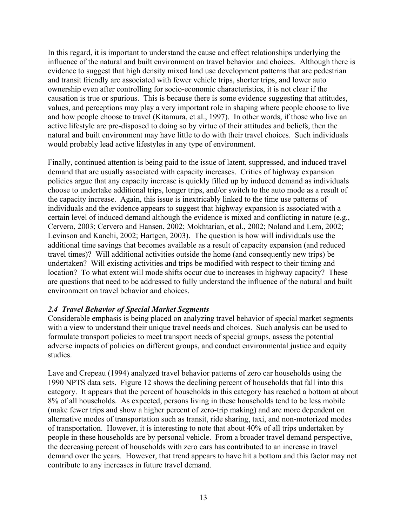In this regard, it is important to understand the cause and effect relationships underlying the influence of the natural and built environment on travel behavior and choices. Although there is evidence to suggest that high density mixed land use development patterns that are pedestrian and transit friendly are associated with fewer vehicle trips, shorter trips, and lower auto ownership even after controlling for socio-economic characteristics, it is not clear if the causation is true or spurious. This is because there is some evidence suggesting that attitudes, values, and perceptions may play a very important role in shaping where people choose to live and how people choose to travel (Kitamura, et al., 1997). In other words, if those who live an active lifestyle are pre-disposed to doing so by virtue of their attitudes and beliefs, then the natural and built environment may have little to do with their travel choices. Such individuals would probably lead active lifestyles in any type of environment.

Finally, continued attention is being paid to the issue of latent, suppressed, and induced travel demand that are usually associated with capacity increases. Critics of highway expansion policies argue that any capacity increase is quickly filled up by induced demand as individuals choose to undertake additional trips, longer trips, and/or switch to the auto mode as a result of the capacity increase. Again, this issue is inextricably linked to the time use patterns of individuals and the evidence appears to suggest that highway expansion is associated with a certain level of induced demand although the evidence is mixed and conflicting in nature (e.g., Cervero, 2003; Cervero and Hansen, 2002; Mokhtarian, et al., 2002; Noland and Lem, 2002; Levinson and Kanchi, 2002; Hartgen, 2003). The question is how will individuals use the additional time savings that becomes available as a result of capacity expansion (and reduced travel times)? Will additional activities outside the home (and consequently new trips) be undertaken? Will existing activities and trips be modified with respect to their timing and location? To what extent will mode shifts occur due to increases in highway capacity? These are questions that need to be addressed to fully understand the influence of the natural and built environment on travel behavior and choices.

#### *2.4 Travel Behavior of Special Market Segments*

Considerable emphasis is being placed on analyzing travel behavior of special market segments with a view to understand their unique travel needs and choices. Such analysis can be used to formulate transport policies to meet transport needs of special groups, assess the potential adverse impacts of policies on different groups, and conduct environmental justice and equity studies.

Lave and Crepeau (1994) analyzed travel behavior patterns of zero car households using the 1990 NPTS data sets. Figure 12 shows the declining percent of households that fall into this category. It appears that the percent of households in this category has reached a bottom at about 8% of all households. As expected, persons living in these households tend to be less mobile (make fewer trips and show a higher percent of zero-trip making) and are more dependent on alternative modes of transportation such as transit, ride sharing, taxi, and non-motorized modes of transportation. However, it is interesting to note that about 40% of all trips undertaken by people in these households are by personal vehicle. From a broader travel demand perspective, the decreasing percent of households with zero cars has contributed to an increase in travel demand over the years. However, that trend appears to have hit a bottom and this factor may not contribute to any increases in future travel demand.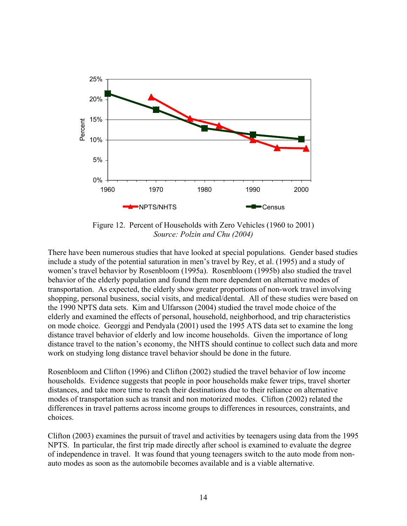

Figure 12. Percent of Households with Zero Vehicles (1960 to 2001) *Source: Polzin and Chu (2004)*

There have been numerous studies that have looked at special populations. Gender based studies include a study of the potential saturation in men's travel by Rey, et al. (1995) and a study of women's travel behavior by Rosenbloom (1995a). Rosenbloom (1995b) also studied the travel behavior of the elderly population and found them more dependent on alternative modes of transportation. As expected, the elderly show greater proportions of non-work travel involving shopping, personal business, social visits, and medical/dental. All of these studies were based on the 1990 NPTS data sets. Kim and Ulfarsson (2004) studied the travel mode choice of the elderly and examined the effects of personal, household, neighborhood, and trip characteristics on mode choice. Georggi and Pendyala (2001) used the 1995 ATS data set to examine the long distance travel behavior of elderly and low income households. Given the importance of long distance travel to the nation's economy, the NHTS should continue to collect such data and more work on studying long distance travel behavior should be done in the future.

Rosenbloom and Clifton (1996) and Clifton (2002) studied the travel behavior of low income households. Evidence suggests that people in poor households make fewer trips, travel shorter distances, and take more time to reach their destinations due to their reliance on alternative modes of transportation such as transit and non motorized modes. Clifton (2002) related the differences in travel patterns across income groups to differences in resources, constraints, and choices.

Clifton (2003) examines the pursuit of travel and activities by teenagers using data from the 1995 NPTS. In particular, the first trip made directly after school is examined to evaluate the degree of independence in travel. It was found that young teenagers switch to the auto mode from nonauto modes as soon as the automobile becomes available and is a viable alternative.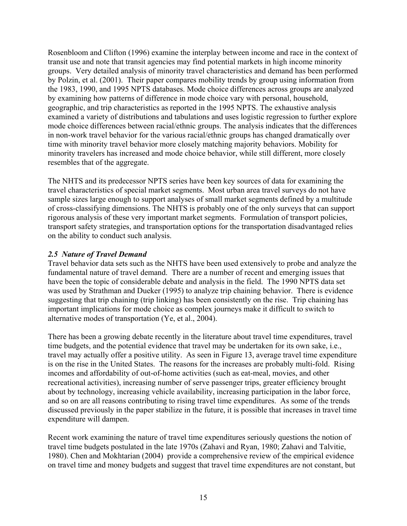Rosenbloom and Clifton (1996) examine the interplay between income and race in the context of transit use and note that transit agencies may find potential markets in high income minority groups. Very detailed analysis of minority travel characteristics and demand has been performed by Polzin, et al. (2001). Their paper compares mobility trends by group using information from the 1983, 1990, and 1995 NPTS databases. Mode choice differences across groups are analyzed by examining how patterns of difference in mode choice vary with personal, household, geographic, and trip characteristics as reported in the 1995 NPTS. The exhaustive analysis examined a variety of distributions and tabulations and uses logistic regression to further explore mode choice differences between racial/ethnic groups. The analysis indicates that the differences in non-work travel behavior for the various racial/ethnic groups has changed dramatically over time with minority travel behavior more closely matching majority behaviors. Mobility for minority travelers has increased and mode choice behavior, while still different, more closely resembles that of the aggregate.

The NHTS and its predecessor NPTS series have been key sources of data for examining the travel characteristics of special market segments. Most urban area travel surveys do not have sample sizes large enough to support analyses of small market segments defined by a multitude of cross-classifying dimensions. The NHTS is probably one of the only surveys that can support rigorous analysis of these very important market segments. Formulation of transport policies, transport safety strategies, and transportation options for the transportation disadvantaged relies on the ability to conduct such analysis.

#### *2.5 Nature of Travel Demand*

Travel behavior data sets such as the NHTS have been used extensively to probe and analyze the fundamental nature of travel demand. There are a number of recent and emerging issues that have been the topic of considerable debate and analysis in the field. The 1990 NPTS data set was used by Strathman and Dueker (1995) to analyze trip chaining behavior. There is evidence suggesting that trip chaining (trip linking) has been consistently on the rise. Trip chaining has important implications for mode choice as complex journeys make it difficult to switch to alternative modes of transportation (Ye, et al., 2004).

There has been a growing debate recently in the literature about travel time expenditures, travel time budgets, and the potential evidence that travel may be undertaken for its own sake, i.e., travel may actually offer a positive utility. As seen in Figure 13, average travel time expenditure is on the rise in the United States. The reasons for the increases are probably multi-fold. Rising incomes and affordability of out-of-home activities (such as eat-meal, movies, and other recreational activities), increasing number of serve passenger trips, greater efficiency brought about by technology, increasing vehicle availability, increasing participation in the labor force, and so on are all reasons contributing to rising travel time expenditures. As some of the trends discussed previously in the paper stabilize in the future, it is possible that increases in travel time expenditure will dampen.

Recent work examining the nature of travel time expenditures seriously questions the notion of travel time budgets postulated in the late 1970s (Zahavi and Ryan, 1980; Zahavi and Talvitie, 1980). Chen and Mokhtarian (2004) provide a comprehensive review of the empirical evidence on travel time and money budgets and suggest that travel time expenditures are not constant, but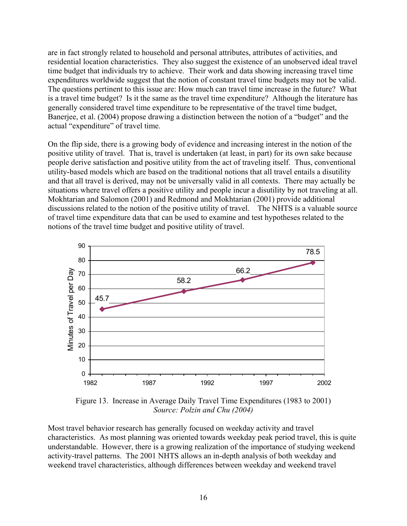are in fact strongly related to household and personal attributes, attributes of activities, and residential location characteristics. They also suggest the existence of an unobserved ideal travel time budget that individuals try to achieve. Their work and data showing increasing travel time expenditures worldwide suggest that the notion of constant travel time budgets may not be valid. The questions pertinent to this issue are: How much can travel time increase in the future? What is a travel time budget? Is it the same as the travel time expenditure? Although the literature has generally considered travel time expenditure to be representative of the travel time budget, Banerjee, et al. (2004) propose drawing a distinction between the notion of a "budget" and the actual "expenditure" of travel time.

On the flip side, there is a growing body of evidence and increasing interest in the notion of the positive utility of travel. That is, travel is undertaken (at least, in part) for its own sake because people derive satisfaction and positive utility from the act of traveling itself. Thus, conventional utility-based models which are based on the traditional notions that all travel entails a disutility and that all travel is derived, may not be universally valid in all contexts. There may actually be situations where travel offers a positive utility and people incur a disutility by not traveling at all. Mokhtarian and Salomon (2001) and Redmond and Mokhtarian (2001) provide additional discussions related to the notion of the positive utility of travel. The NHTS is a valuable source of travel time expenditure data that can be used to examine and test hypotheses related to the notions of the travel time budget and positive utility of travel.



Figure 13. Increase in Average Daily Travel Time Expenditures (1983 to 2001) *Source: Polzin and Chu (2004)*

Most travel behavior research has generally focused on weekday activity and travel characteristics. As most planning was oriented towards weekday peak period travel, this is quite understandable. However, there is a growing realization of the importance of studying weekend activity-travel patterns. The 2001 NHTS allows an in-depth analysis of both weekday and weekend travel characteristics, although differences between weekday and weekend travel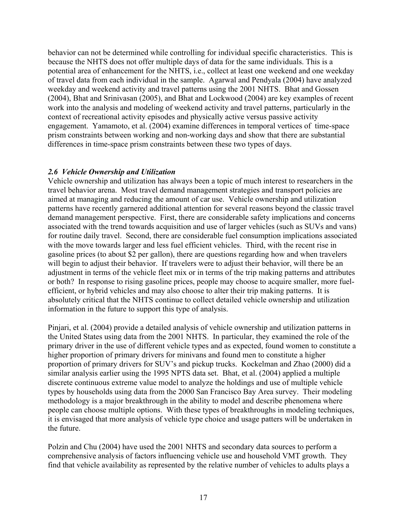behavior can not be determined while controlling for individual specific characteristics. This is because the NHTS does not offer multiple days of data for the same individuals. This is a potential area of enhancement for the NHTS, i.e., collect at least one weekend and one weekday of travel data from each individual in the sample. Agarwal and Pendyala (2004) have analyzed weekday and weekend activity and travel patterns using the 2001 NHTS. Bhat and Gossen (2004), Bhat and Srinivasan (2005), and Bhat and Lockwood (2004) are key examples of recent work into the analysis and modeling of weekend activity and travel patterns, particularly in the context of recreational activity episodes and physically active versus passive activity engagement. Yamamoto, et al. (2004) examine differences in temporal vertices of time-space prism constraints between working and non-working days and show that there are substantial differences in time-space prism constraints between these two types of days.

#### *2.6 Vehicle Ownership and Utilization*

Vehicle ownership and utilization has always been a topic of much interest to researchers in the travel behavior arena. Most travel demand management strategies and transport policies are aimed at managing and reducing the amount of car use. Vehicle ownership and utilization patterns have recently garnered additional attention for several reasons beyond the classic travel demand management perspective. First, there are considerable safety implications and concerns associated with the trend towards acquisition and use of larger vehicles (such as SUVs and vans) for routine daily travel. Second, there are considerable fuel consumption implications associated with the move towards larger and less fuel efficient vehicles. Third, with the recent rise in gasoline prices (to about \$2 per gallon), there are questions regarding how and when travelers will begin to adjust their behavior. If travelers were to adjust their behavior, will there be an adjustment in terms of the vehicle fleet mix or in terms of the trip making patterns and attributes or both? In response to rising gasoline prices, people may choose to acquire smaller, more fuelefficient, or hybrid vehicles and may also choose to alter their trip making patterns. It is absolutely critical that the NHTS continue to collect detailed vehicle ownership and utilization information in the future to support this type of analysis.

Pinjari, et al. (2004) provide a detailed analysis of vehicle ownership and utilization patterns in the United States using data from the 2001 NHTS. In particular, they examined the role of the primary driver in the use of different vehicle types and as expected, found women to constitute a higher proportion of primary drivers for minivans and found men to constitute a higher proportion of primary drivers for SUV's and pickup trucks. Kockelman and Zhao (2000) did a similar analysis earlier using the 1995 NPTS data set. Bhat, et al. (2004) applied a multiple discrete continuous extreme value model to analyze the holdings and use of multiple vehicle types by households using data from the 2000 San Francisco Bay Area survey. Their modeling methodology is a major breakthrough in the ability to model and describe phenomena where people can choose multiple options. With these types of breakthroughs in modeling techniques, it is envisaged that more analysis of vehicle type choice and usage patters will be undertaken in the future.

Polzin and Chu (2004) have used the 2001 NHTS and secondary data sources to perform a comprehensive analysis of factors influencing vehicle use and household VMT growth. They find that vehicle availability as represented by the relative number of vehicles to adults plays a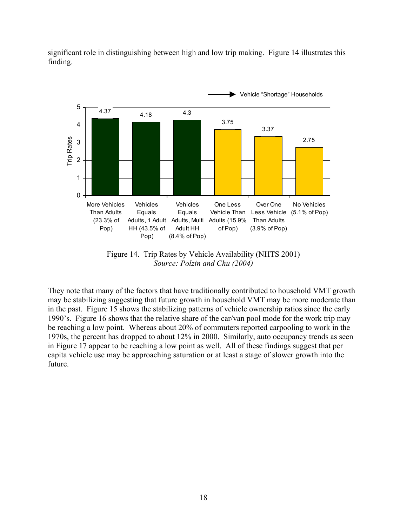

significant role in distinguishing between high and low trip making. Figure 14 illustrates this finding.

Figure 14. Trip Rates by Vehicle Availability (NHTS 2001) *Source: Polzin and Chu (2004)*

They note that many of the factors that have traditionally contributed to household VMT growth may be stabilizing suggesting that future growth in household VMT may be more moderate than in the past. Figure 15 shows the stabilizing patterns of vehicle ownership ratios since the early 1990's. Figure 16 shows that the relative share of the car/van pool mode for the work trip may be reaching a low point. Whereas about 20% of commuters reported carpooling to work in the 1970s, the percent has dropped to about 12% in 2000. Similarly, auto occupancy trends as seen in Figure 17 appear to be reaching a low point as well. All of these findings suggest that per capita vehicle use may be approaching saturation or at least a stage of slower growth into the future.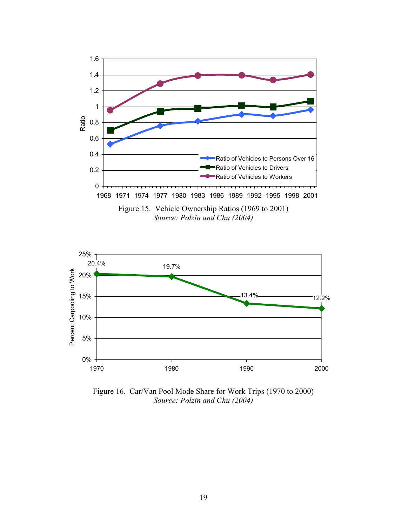



Figure 16. Car/Van Pool Mode Share for Work Trips (1970 to 2000) *Source: Polzin and Chu (2004)*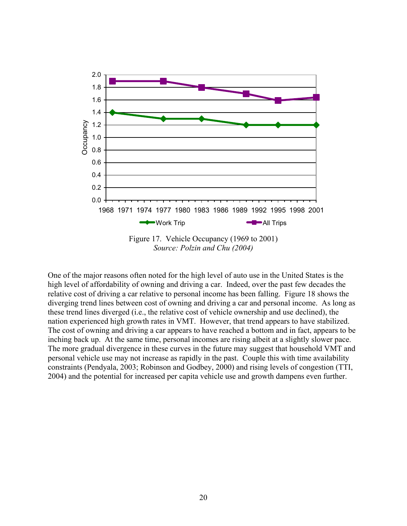

*Source: Polzin and Chu (2004)*

One of the major reasons often noted for the high level of auto use in the United States is the diverging trend lines between cost of owning and driving a car and personal income. As long as nation experienced high growth rates in VMT. However, that trend appears to have stabilized. high level of affordability of owning and driving a car. Indeed, over the past few decades the relative cost of driving a car relative to personal income has been falling. Figure 18 shows the these trend lines diverged (i.e., the relative cost of vehicle ownership and use declined), the The cost of owning and driving a car appears to have reached a bottom and in fact, appears to be inching back up. At the same time, personal incomes are rising albeit at a slightly slower pace. The more gradual divergence in these curves in the future may suggest that household VMT and personal vehicle use may not increase as rapidly in the past. Couple this with time availability constraints (Pendyala, 2003; Robinson and Godbey, 2000) and rising levels of congestion (TTI, 2004) and the potential for increased per capita vehicle use and growth dampens even further.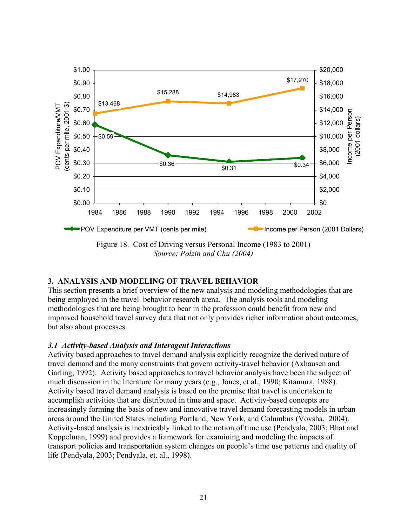

*Source: Polzin and Chu (2004)*

# **. ANALYSIS AND MODELING OF TRAVEL BEHAVIOR 3**

This section presents a brief overview of the new analysis and modeling methodologies that are methodologies that are being brought to bear in the profession could benefit from new and improved household travel survey data that not only provides richer information about outcomes, being employed in the travel behavior research arena. The analysis tools and modeling but also about processes.

#### *.1 Activity-based Analysis and Interagent Interactions 3*

Activity based approaches to travel demand analysis explicitly recognize the derived nature of Garling, 1992). Activity based approaches to travel behavior analysis have been the subject of increasingly forming the basis of new and innovative travel demand forecasting models in urban transport policies and transportation system changes on people's time use patterns and quality of travel demand and the many constraints that govern activity-travel behavior (Axhausen and much discussion in the literature for many years (e.g., Jones, et al., 1990; Kitamura, 1988). Activity based travel demand analysis is based on the premise that travel is undertaken to accomplish activities that are distributed in time and space. Activity-based concepts are areas around the United States including Portland, New York, and Columbus (Vovsha, 2004). Activity-based analysis is inextricably linked to the notion of time use (Pendyala, 2003; Bhat and Koppelman, 1999) and provides a framework for examining and modeling the impacts of life (Pendyala, 2003; Pendyala, et. al., 1998).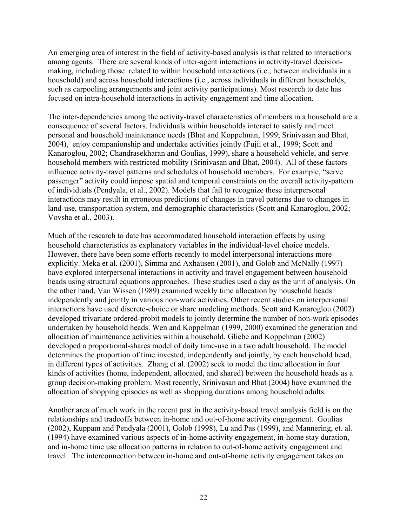An emerging area of interest in the field of activity-based analysis is that related to interactions making, including those related to within household interactions (i.e., between individuals in a among agents. There are several kinds of inter-agent interactions in activity-travel decisionhousehold) and across household interactions (i.e., across individuals in different households, such as carpooling arrangements and joint activity participations). Most research to date has focused on intra-household interactions in activity engagement and time allocation.

The inter-dependencies among the activity-travel characteristics of members in a household are a personal and household maintenance needs (Bhat and Koppelman, 1999; Srinivasan and Bhat, Kanaroglou, 2002; Chandrasekharan and Goulias, 1999), share a household vehicle, and serve passenger" activity could impose spatial and temporal constraints on the overall activity-pattern interactions may result in erroneous predictions of changes in travel patterns due to changes in consequence of several factors. Individuals within households interact to satisfy and meet 2004), enjoy companionship and undertake activities jointly (Fujii et al., 1999; Scott and household members with restricted mobility (Srinivasan and Bhat, 2004). All of these factors influence activity-travel patterns and schedules of household members. For example, "serve of individuals (Pendyala, et al., 2002). Models that fail to recognize these interpersonal land-use, transportation system, and demographic characteristics (Scott and Kanaroglou, 2002; Vovsha et al., 2003).

Much of the research to date has accommodated household interaction effects by using explicitly. Meka et al. (2001), Simma and Axhausen (2001), and Golob and McNally (1997) heads using structural equations approaches. These studies used a day as the unit of analysis. On independently and jointly in various non-work activities. Other recent studies on interpersonal ) interactions have used discrete-choice or share modeling methods. Scott and Kanaroglou (2002 developed a proportional-shares model of daily time-use in a two adult household. The model kinds of activities (home, independent, allocated, and shared) between the household heads as a household characteristics as explanatory variables in the individual-level choice models. However, there have been some efforts recently to model interpersonal interactions more have explored interpersonal interactions in activity and travel engagement between household the other hand, Van Wissen (1989) examined weekly time allocation by household heads developed trivariate ordered-probit models to jointly determine the number of non-work episodes undertaken by household heads. Wen and Koppelman (1999, 2000) examined the generation and allocation of maintenance activities within a household. Gliebe and Koppelman (2002) determines the proportion of time invested, independently and jointly, by each household head, in different types of activities. Zhang et al. (2002) seek to model the time allocation in four group decision-making problem. Most recently, Srinivasan and Bhat (2004) have examined the allocation of shopping episodes as well as shopping durations among household adults.

Another area of much work in the recent past in the activity-based travel analysis field is on the (2002), Kuppam and Pendyala (2001), Golob (1998), Lu and Pas (1999), and Mannering, et. al. relationships and tradeoffs between in-home and out-of-home activity engagement. Goulias (1994) have examined various aspects of in-home activity engagement, in-home stay duration, and in-home time use allocation patterns in relation to out-of-home activity engagement and travel. The interconnection between in-home and out-of-home activity engagement takes on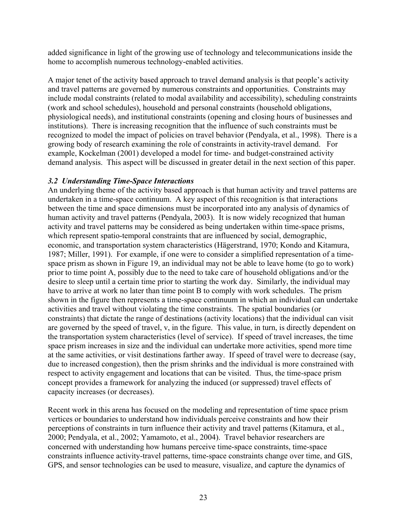added significance in light of the growing use of technology and telecommunications inside the home to accomplish numerous technology-enabled activities.

A major tenet of the activity based approach to travel demand analysis is that people's activity and travel patterns are governed by numerous constraints and opportunities. Constraints may include modal constraints (related to modal availability and accessibility), scheduling constraints (work and school schedules), household and personal constraints (household obligations, physiological needs), and institutional constraints (opening and closing hours of businesses and institutions). There is increasing recognition that the influence of such constraints must be recognized to model the impact of policies on travel behavior (Pendyala, et al., 1998). There is a growing body of research examining the role of constraints in activity-travel demand. For example, Kockelman (2001) developed a model for time- and budget-constrained activity demand analysis. This aspect will be discussed in greater detail in the next section of this paper.

#### *3.2 Understanding Time-Space Interactions*

An underlying theme of the activity based approach is that human activity and travel patterns are undertaken in a time-space continuum. A key aspect of this recognition is that interactions between the time and space dimensions must be incorporated into any analysis of dynamics of human activity and travel patterns (Pendyala, 2003). It is now widely recognized that human activity and travel patterns may be considered as being undertaken within time-space prisms, which represent spatio-temporal constraints that are influenced by social, demographic, economic, and transportation system characteristics (Hägerstrand, 1970; Kondo and Kitamura, 1987; Miller, 1991). For example, if one were to consider a simplified representation of a timespace prism as shown in Figure 19, an individual may not be able to leave home (to go to work) prior to time point A, possibly due to the need to take care of household obligations and/or the desire to sleep until a certain time prior to starting the work day. Similarly, the individual may have to arrive at work no later than time point B to comply with work schedules. The prism shown in the figure then represents a time-space continuum in which an individual can undertake activities and travel without violating the time constraints. The spatial boundaries (or constraints) that dictate the range of destinations (activity locations) that the individual can visit are governed by the speed of travel, v, in the figure. This value, in turn, is directly dependent on the transportation system characteristics (level of service). If speed of travel increases, the time space prism increases in size and the individual can undertake more activities, spend more time at the same activities, or visit destinations farther away. If speed of travel were to decrease (say, due to increased congestion), then the prism shrinks and the individual is more constrained with respect to activity engagement and locations that can be visited. Thus, the time-space prism concept provides a framework for analyzing the induced (or suppressed) travel effects of capacity increases (or decreases).

Recent work in this arena has focused on the modeling and representation of time space prism vertices or boundaries to understand how individuals perceive constraints and how their perceptions of constraints in turn influence their activity and travel patterns (Kitamura, et al., 2000; Pendyala, et al., 2002; Yamamoto, et al., 2004). Travel behavior researchers are concerned with understanding how humans perceive time-space constraints, time-space constraints influence activity-travel patterns, time-space constraints change over time, and GIS, GPS, and sensor technologies can be used to measure, visualize, and capture the dynamics of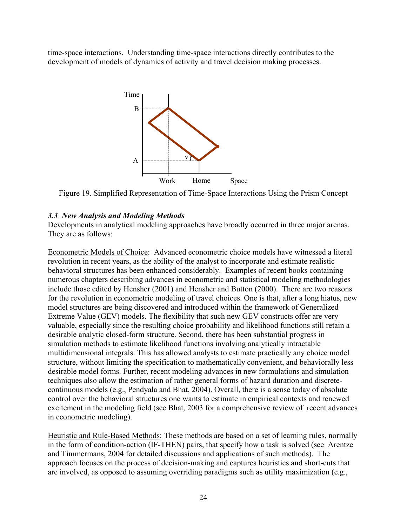time-space interactions. Understanding time-space interactions directly contributes to the development of models of dynamics of activity and travel decision making processes.



Figure 19. Simplified Representation of Time-Space Interactions Using the Prism Concept

#### *3.3 New Analysis and Modeling Methods*

Developments in analytical modeling approaches have broadly occurred in three major arenas. They are as follows:

Econometric Models of Choice: Advanced econometric choice models have witnessed a literal revolution in recent years, as the ability of the analyst to incorporate and estimate realistic behavioral structures has been enhanced considerably. Examples of recent books containing numerous chapters describing advances in econometric and statistical modeling methodologies include those edited by Hensher (2001) and Hensher and Button (2000). There are two reasons for the revolution in econometric modeling of travel choices. One is that, after a long hiatus, new model structures are being discovered and introduced within the framework of Generalized Extreme Value (GEV) models. The flexibility that such new GEV constructs offer are very valuable, especially since the resulting choice probability and likelihood functions still retain a desirable analytic closed-form structure. Second, there has been substantial progress in simulation methods to estimate likelihood functions involving analytically intractable multidimensional integrals. This has allowed analysts to estimate practically any choice model structure, without limiting the specification to mathematically convenient, and behaviorally less desirable model forms. Further, recent modeling advances in new formulations and simulation techniques also allow the estimation of rather general forms of hazard duration and discretecontinuous models (e.g., Pendyala and Bhat, 2004). Overall, there is a sense today of absolute control over the behavioral structures one wants to estimate in empirical contexts and renewed excitement in the modeling field (see Bhat, 2003 for a comprehensive review of recent advances in econometric modeling).

Heuristic and Rule-Based Methods: These methods are based on a set of learning rules, normally in the form of condition-action (IF-THEN) pairs, that specify how a task is solved (see Arentze and Timmermans, 2004 for detailed discussions and applications of such methods). The approach focuses on the process of decision-making and captures heuristics and short-cuts that are involved, as opposed to assuming overriding paradigms such as utility maximization (e.g.,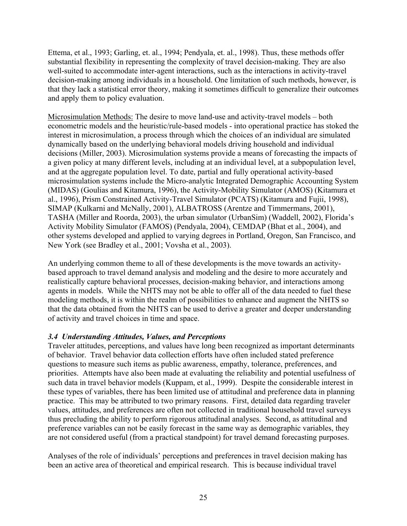Ettema, et al., 1993; Garling, et. al., 1994; Pendyala, et. al., 1998). Thus, these methods offer substantial flexibility in representing the complexity of travel decision-making. They are also well-suited to accommodate inter-agent interactions, such as the interactions in activity-travel decision-making among individuals in a household. One limitation of such methods, however, is that they lack a statistical error theory, making it sometimes difficult to generalize their outcomes and apply them to policy evaluation.

Microsimulation Methods: The desire to move land-use and activity-travel models – both econometric models and the heuristic/rule-based models - into operational practice has stoked the interest in microsimulation, a process through which the choices of an individual are simulated dynamically based on the underlying behavioral models driving household and individual decisions (Miller, 2003). Microsimulation systems provide a means of forecasting the impacts of a given policy at many different levels, including at an individual level, at a subpopulation level, and at the aggregate population level. To date, partial and fully operational activity-based microsimulation systems include the Micro-analytic Integrated Demographic Accounting System (MIDAS) (Goulias and Kitamura, 1996), the Activity-Mobility Simulator (AMOS) (Kitamura et al., 1996), Prism Constrained Activity-Travel Simulator (PCATS) (Kitamura and Fujii, 1998), SIMAP (Kulkarni and McNally, 2001), ALBATROSS (Arentze and Timmermans, 2001), TASHA (Miller and Roorda, 2003), the urban simulator (UrbanSim) (Waddell, 2002), Florida's Activity Mobility Simulator (FAMOS) (Pendyala, 2004), CEMDAP (Bhat et al., 2004), and other systems developed and applied to varying degrees in Portland, Oregon, San Francisco, and New York (see Bradley et al., 2001; Vovsha et al., 2003).

An underlying common theme to all of these developments is the move towards an activitybased approach to travel demand analysis and modeling and the desire to more accurately and realistically capture behavioral processes, decision-making behavior, and interactions among agents in models. While the NHTS may not be able to offer all of the data needed to fuel these modeling methods, it is within the realm of possibilities to enhance and augment the NHTS so that the data obtained from the NHTS can be used to derive a greater and deeper understanding of activity and travel choices in time and space.

#### *3.4 Understanding Attitudes, Values, and Perceptions*

Traveler attitudes, perceptions, and values have long been recognized as important determinants of behavior. Travel behavior data collection efforts have often included stated preference questions to measure such items as public awareness, empathy, tolerance, preferences, and priorities. Attempts have also been made at evaluating the reliability and potential usefulness of such data in travel behavior models (Kuppam, et al., 1999). Despite the considerable interest in these types of variables, there has been limited use of attitudinal and preference data in planning practice. This may be attributed to two primary reasons. First, detailed data regarding traveler values, attitudes, and preferences are often not collected in traditional household travel surveys thus precluding the ability to perform rigorous attitudinal analyses. Second, as attitudinal and preference variables can not be easily forecast in the same way as demographic variables, they are not considered useful (from a practical standpoint) for travel demand forecasting purposes.

Analyses of the role of individuals' perceptions and preferences in travel decision making has been an active area of theoretical and empirical research. This is because individual travel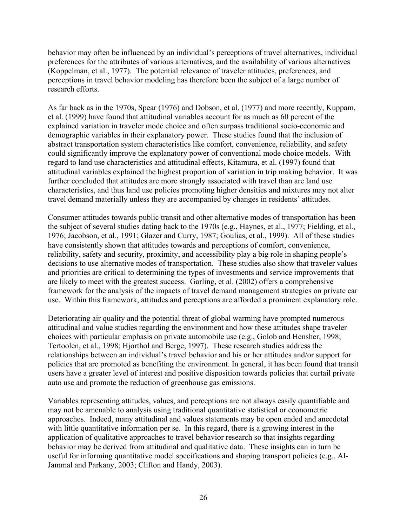behavior may often be influenced by an individual's perceptions of travel alternatives, individual preferences for the attributes of various alternatives, and the availability of various alternatives (Koppelman, et al., 1977). The potential relevance of traveler attitudes, preferences, and perceptions in travel behavior modeling has therefore been the subject of a large number of research efforts.

As far back as in the 1970s, Spear (1976) and Dobson, et al. (1977) and more recently, Kuppam, et al. (1999) have found that attitudinal variables account for as much as 60 percent of the explained variation in traveler mode choice and often surpass traditional socio-economic and demographic variables in their explanatory power. These studies found that the inclusion of abstract transportation system characteristics like comfort, convenience, reliability, and safety could significantly improve the explanatory power of conventional mode choice models. With regard to land use characteristics and attitudinal effects, Kitamura, et al. (1997) found that attitudinal variables explained the highest proportion of variation in trip making behavior. It was further concluded that attitudes are more strongly associated with travel than are land use characteristics, and thus land use policies promoting higher densities and mixtures may not alter travel demand materially unless they are accompanied by changes in residents' attitudes.

Consumer attitudes towards public transit and other alternative modes of transportation has been the subject of several studies dating back to the 1970s (e.g., Haynes, et al., 1977; Fielding, et al., 1976; Jacobson, et al., 1991; Glazer and Curry, 1987; Goulias, et al., 1999). All of these studies have consistently shown that attitudes towards and perceptions of comfort, convenience, reliability, safety and security, proximity, and accessibility play a big role in shaping people's decisions to use alternative modes of transportation. These studies also show that traveler values and priorities are critical to determining the types of investments and service improvements that are likely to meet with the greatest success. Garling, et al. (2002) offers a comprehensive framework for the analysis of the impacts of travel demand management strategies on private car use. Within this framework, attitudes and perceptions are afforded a prominent explanatory role.

Deteriorating air quality and the potential threat of global warming have prompted numerous attitudinal and value studies regarding the environment and how these attitudes shape traveler choices with particular emphasis on private automobile use (e.g., Golob and Hensher, 1998; Tertoolen, et al., 1998; Hjorthol and Berge, 1997). These research studies address the relationships between an individual's travel behavior and his or her attitudes and/or support for policies that are promoted as benefiting the environment. In general, it has been found that transit users have a greater level of interest and positive disposition towards policies that curtail private auto use and promote the reduction of greenhouse gas emissions.

Variables representing attitudes, values, and perceptions are not always easily quantifiable and may not be amenable to analysis using traditional quantitative statistical or econometric approaches. Indeed, many attitudinal and values statements may be open ended and anecdotal with little quantitative information per se. In this regard, there is a growing interest in the application of qualitative approaches to travel behavior research so that insights regarding behavior may be derived from attitudinal and qualitative data. These insights can in turn be useful for informing quantitative model specifications and shaping transport policies (e.g., Al-Jammal and Parkany, 2003; Clifton and Handy, 2003).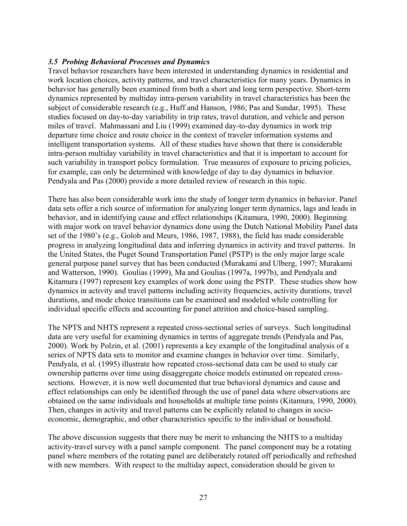#### *3.5 Probing Behavioral Processes and Dynamics*

Travel behavior researchers have been interested in understanding dynamics in residential and work location choices, activity patterns, and travel characteristics for many years. Dynamics in behavior has generally been examined from both a short and long term perspective. Short-term dynamics represented by multiday intra-person variability in travel characteristics has been the subject of considerable research (e.g., Huff and Hanson, 1986; Pas and Sundar, 1995). These studies focused on day-to-day variability in trip rates, travel duration, and vehicle and person miles of travel. Mahmassani and Liu (1999) examined day-to-day dynamics in work trip departure time choice and route choice in the context of traveler information systems and intelligent transportation systems. All of these studies have shown that there is considerable intra-person multiday variability in travel characteristics and that it is important to account for such variability in transport policy formulation. True measures of exposure to pricing policies, for example, can only be determined with knowledge of day to day dynamics in behavior. Pendyala and Pas (2000) provide a more detailed review of research in this topic.

There has also been considerable work into the study of longer term dynamics in behavior. Panel data sets offer a rich source of information for analyzing longer term dynamics, lags and leads in behavior, and in identifying cause and effect relationships (Kitamura, 1990, 2000). Beginning with major work on travel behavior dynamics done using the Dutch National Mobility Panel data set of the 1980's (e.g., Golob and Meurs, 1986, 1987, 1988), the field has made considerable progress in analyzing longitudinal data and inferring dynamics in activity and travel patterns. In the United States, the Puget Sound Transportation Panel (PSTP) is the only major large scale general purpose panel survey that has been conducted (Murakami and Ulberg, 1997; Murakami and Watterson, 1990). Goulias (1999), Ma and Goulias (1997a, 1997b), and Pendyala and Kitamura (1997) represent key examples of work done using the PSTP. These studies show how dynamics in activity and travel patterns including activity frequencies, activity durations, travel durations, and mode choice transitions can be examined and modeled while controlling for individual specific effects and accounting for panel attrition and choice-based sampling.

The NPTS and NHTS represent a repeated cross-sectional series of surveys. Such longitudinal data are very useful for examining dynamics in terms of aggregate trends (Pendyala and Pas, 2000). Work by Polzin, et al. (2001) represents a key example of the longitudinal analysis of a series of NPTS data sets to monitor and examine changes in behavior over time. Similarly, Pendyala, et al. (1995) illustrate how repeated cross-sectional data can be used to study car ownership patterns over time using disaggregate choice models estimated on repeated crosssections. However, it is now well documented that true behavioral dynamics and cause and effect relationships can only be identified through the use of panel data where observations are obtained on the same individuals and households at multiple time points (Kitamura, 1990, 2000). Then, changes in activity and travel patterns can be explicitly related to changes in socioeconomic, demographic, and other characteristics specific to the individual or household.

The above discussion suggests that there may be merit to enhancing the NHTS to a multiday activity-travel survey with a panel sample component. The panel component may be a rotating panel where members of the rotating panel are deliberately rotated off periodically and refreshed with new members. With respect to the multiday aspect, consideration should be given to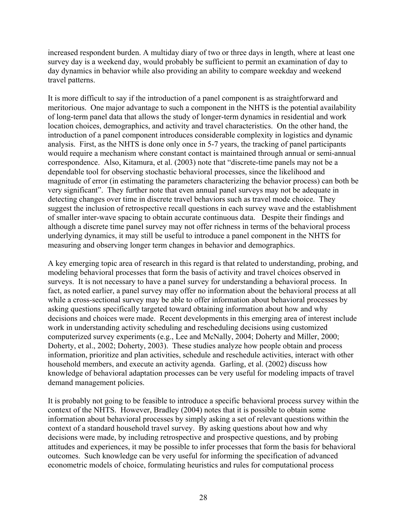increased respondent burden. A multiday diary of two or three days in length, where at least one survey day is a weekend day, would probably be sufficient to permit an examination of day to day dynamics in behavior while also providing an ability to compare weekday and weekend travel patterns.

It is more difficult to say if the introduction of a panel component is as straightforward and meritorious. One major advantage to such a component in the NHTS is the potential availability of long-term panel data that allows the study of longer-term dynamics in residential and work location choices, demographics, and activity and travel characteristics. On the other hand, the introduction of a panel component introduces considerable complexity in logistics and dynamic analysis. First, as the NHTS is done only once in 5-7 years, the tracking of panel participants would require a mechanism where constant contact is maintained through annual or semi-annual correspondence. Also, Kitamura, et al. (2003) note that "discrete-time panels may not be a dependable tool for observing stochastic behavioral processes, since the likelihood and magnitude of error (in estimating the parameters characterizing the behavior process) can both be very significant". They further note that even annual panel surveys may not be adequate in detecting changes over time in discrete travel behaviors such as travel mode choice. They suggest the inclusion of retrospective recall questions in each survey wave and the establishment of smaller inter-wave spacing to obtain accurate continuous data. Despite their findings and although a discrete time panel survey may not offer richness in terms of the behavioral process underlying dynamics, it may still be useful to introduce a panel component in the NHTS for measuring and observing longer term changes in behavior and demographics.

A key emerging topic area of research in this regard is that related to understanding, probing, and modeling behavioral processes that form the basis of activity and travel choices observed in surveys. It is not necessary to have a panel survey for understanding a behavioral process. In fact, as noted earlier, a panel survey may offer no information about the behavioral process at all while a cross-sectional survey may be able to offer information about behavioral processes by asking questions specifically targeted toward obtaining information about how and why decisions and choices were made. Recent developments in this emerging area of interest include work in understanding activity scheduling and rescheduling decisions using customized computerized survey experiments (e.g., Lee and McNally, 2004; Doherty and Miller, 2000; Doherty, et al., 2002; Doherty, 2003). These studies analyze how people obtain and process information, prioritize and plan activities, schedule and reschedule activities, interact with other household members, and execute an activity agenda. Garling, et al. (2002) discuss how knowledge of behavioral adaptation processes can be very useful for modeling impacts of travel demand management policies.

It is probably not going to be feasible to introduce a specific behavioral process survey within the context of the NHTS. However, Bradley (2004) notes that it is possible to obtain some information about behavioral processes by simply asking a set of relevant questions within the context of a standard household travel survey. By asking questions about how and why decisions were made, by including retrospective and prospective questions, and by probing attitudes and experiences, it may be possible to infer processes that form the basis for behavioral outcomes. Such knowledge can be very useful for informing the specification of advanced econometric models of choice, formulating heuristics and rules for computational process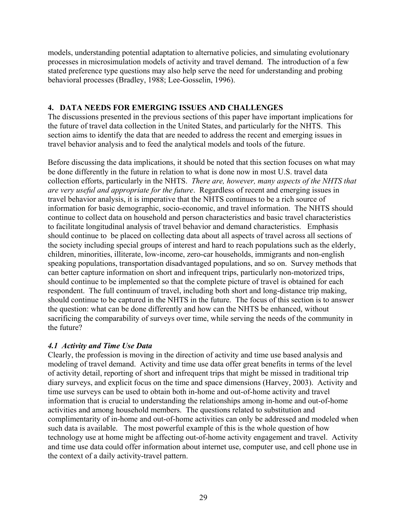models, understanding potential adaptation to alternative policies, and simulating evolutionary processes in microsimulation models of activity and travel demand. The introduction of a few stated preference type questions may also help serve the need for understanding and probing behavioral processes (Bradley, 1988; Lee-Gosselin, 1996).

### **4. DATA NEEDS FOR EMERGING ISSUES AND CHALLENGES**

The discussions presented in the previous sections of this paper have important implications for the future of travel data collection in the United States, and particularly for the NHTS. This section aims to identify the data that are needed to address the recent and emerging issues in travel behavior analysis and to feed the analytical models and tools of the future.

Before discussing the data implications, it should be noted that this section focuses on what may be done differently in the future in relation to what is done now in most U.S. travel data collection efforts, particularly in the NHTS. *There are, however, many aspects of the NHTS that are very useful and appropriate for the future*. Regardless of recent and emerging issues in travel behavior analysis, it is imperative that the NHTS continues to be a rich source of information for basic demographic, socio-economic, and travel information. The NHTS should continue to collect data on household and person characteristics and basic travel characteristics to facilitate longitudinal analysis of travel behavior and demand characteristics. Emphasis should continue to be placed on collecting data about all aspects of travel across all sections of the society including special groups of interest and hard to reach populations such as the elderly, children, minorities, illiterate, low-income, zero-car households, immigrants and non-english speaking populations, transportation disadvantaged populations, and so on. Survey methods that can better capture information on short and infrequent trips, particularly non-motorized trips, should continue to be implemented so that the complete picture of travel is obtained for each respondent. The full continuum of travel, including both short and long-distance trip making, should continue to be captured in the NHTS in the future. The focus of this section is to answer the question: what can be done differently and how can the NHTS be enhanced, without sacrificing the comparability of surveys over time, while serving the needs of the community in the future?

#### *4.1 Activity and Time Use Data*

Clearly, the profession is moving in the direction of activity and time use based analysis and modeling of travel demand. Activity and time use data offer great benefits in terms of the level of activity detail, reporting of short and infrequent trips that might be missed in traditional trip diary surveys, and explicit focus on the time and space dimensions (Harvey, 2003). Activity and time use surveys can be used to obtain both in-home and out-of-home activity and travel information that is crucial to understanding the relationships among in-home and out-of-home activities and among household members. The questions related to substitution and complimentarity of in-home and out-of-home activities can only be addressed and modeled when such data is available. The most powerful example of this is the whole question of how technology use at home might be affecting out-of-home activity engagement and travel. Activity and time use data could offer information about internet use, computer use, and cell phone use in the context of a daily activity-travel pattern.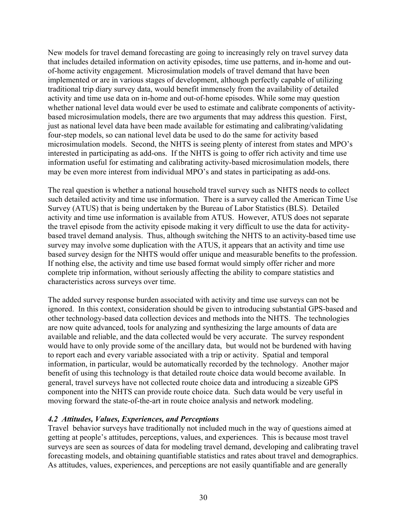New models for travel demand forecasting are going to increasingly rely on travel survey data that includes detailed information on activity episodes, time use patterns, and in-home and outof-home activity engagement. Microsimulation models of travel demand that have been implemented or are in various stages of development, although perfectly capable of utilizing traditional trip diary survey data, would benefit immensely from the availability of detailed activity and time use data on in-home and out-of-home episodes. While some may question whether national level data would ever be used to estimate and calibrate components of activitybased microsimulation models, there are two arguments that may address this question. First, just as national level data have been made available for estimating and calibrating/validating four-step models, so can national level data be used to do the same for activity based microsimulation models. Second, the NHTS is seeing plenty of interest from states and MPO's interested in participating as add-ons. If the NHTS is going to offer rich activity and time use information useful for estimating and calibrating activity-based microsimulation models, there may be even more interest from individual MPO's and states in participating as add-ons.

The real question is whether a national household travel survey such as NHTS needs to collect such detailed activity and time use information. There is a survey called the American Time Use Survey (ATUS) that is being undertaken by the Bureau of Labor Statistics (BLS). Detailed activity and time use information is available from ATUS. However, ATUS does not separate the travel episode from the activity episode making it very difficult to use the data for activitybased travel demand analysis. Thus, although switching the NHTS to an activity-based time use survey may involve some duplication with the ATUS, it appears that an activity and time use based survey design for the NHTS would offer unique and measurable benefits to the profession. If nothing else, the activity and time use based format would simply offer richer and more complete trip information, without seriously affecting the ability to compare statistics and characteristics across surveys over time.

The added survey response burden associated with activity and time use surveys can not be ignored. In this context, consideration should be given to introducing substantial GPS-based and other technology-based data collection devices and methods into the NHTS. The technologies are now quite advanced, tools for analyzing and synthesizing the large amounts of data are available and reliable, and the data collected would be very accurate. The survey respondent would have to only provide some of the ancillary data, but would not be burdened with having to report each and every variable associated with a trip or activity. Spatial and temporal information, in particular, would be automatically recorded by the technology. Another major benefit of using this technology is that detailed route choice data would become available. In general, travel surveys have not collected route choice data and introducing a sizeable GPS component into the NHTS can provide route choice data. Such data would be very useful in moving forward the state-of-the-art in route choice analysis and network modeling.

#### *4.2 Attitudes, Values, Experiences, and Perceptions*

Travel behavior surveys have traditionally not included much in the way of questions aimed at getting at people's attitudes, perceptions, values, and experiences. This is because most travel surveys are seen as sources of data for modeling travel demand, developing and calibrating travel forecasting models, and obtaining quantifiable statistics and rates about travel and demographics. As attitudes, values, experiences, and perceptions are not easily quantifiable and are generally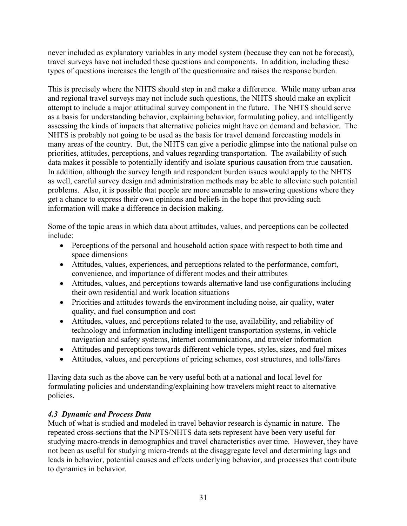never included as explanatory variables in any model system (because they can not be forecast), travel surveys have not included these questions and components. In addition, including these types of questions increases the length of the questionnaire and raises the response burden.

This is precisely where the NHTS should step in and make a difference. While many urban area and regional travel surveys may not include such questions, the NHTS should make an explicit attempt to include a major attitudinal survey component in the future. The NHTS should serve as a basis for understanding behavior, explaining behavior, formulating policy, and intelligently assessing the kinds of impacts that alternative policies might have on demand and behavior. The NHTS is probably not going to be used as the basis for travel demand forecasting models in many areas of the country. But, the NHTS can give a periodic glimpse into the national pulse on priorities, attitudes, perceptions, and values regarding transportation. The availability of such data makes it possible to potentially identify and isolate spurious causation from true causation. In addition, although the survey length and respondent burden issues would apply to the NHTS as well, careful survey design and administration methods may be able to alleviate such potential problems. Also, it is possible that people are more amenable to answering questions where they get a chance to express their own opinions and beliefs in the hope that providing such information will make a difference in decision making.

Some of the topic areas in which data about attitudes, values, and perceptions can be collected include:

- Perceptions of the personal and household action space with respect to both time and space dimensions
- Attitudes, values, experiences, and perceptions related to the performance, comfort, convenience, and importance of different modes and their attributes
- Attitudes, values, and perceptions towards alternative land use configurations including their own residential and work location situations
- Priorities and attitudes towards the environment including noise, air quality, water quality, and fuel consumption and cost
- Attitudes, values, and perceptions related to the use, availability, and reliability of technology and information including intelligent transportation systems, in-vehicle navigation and safety systems, internet communications, and traveler information
- Attitudes and perceptions towards different vehicle types, styles, sizes, and fuel mixes
- Attitudes, values, and perceptions of pricing schemes, cost structures, and tolls/fares

Having data such as the above can be very useful both at a national and local level for formulating policies and understanding/explaining how travelers might react to alternative policies.

# *4.3 Dynamic and Process Data*

Much of what is studied and modeled in travel behavior research is dynamic in nature. The repeated cross-sections that the NPTS/NHTS data sets represent have been very useful for studying macro-trends in demographics and travel characteristics over time. However, they have not been as useful for studying micro-trends at the disaggregate level and determining lags and leads in behavior, potential causes and effects underlying behavior, and processes that contribute to dynamics in behavior.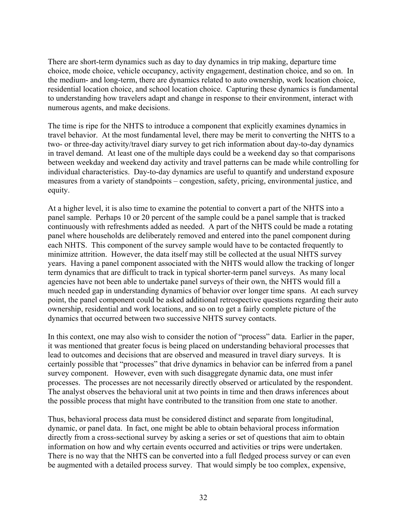There are short-term dynamics such as day to day dynamics in trip making, departure time choice, mode choice, vehicle occupancy, activity engagement, destination choice, and so on. In the medium- and long-term, there are dynamics related to auto ownership, work location choice, residential location choice, and school location choice. Capturing these dynamics is fundamental to understanding how travelers adapt and change in response to their environment, interact with numerous agents, and make decisions.

The time is ripe for the NHTS to introduce a component that explicitly examines dynamics in travel behavior. At the most fundamental level, there may be merit to converting the NHTS to a two- or three-day activity/travel diary survey to get rich information about day-to-day dynamics in travel demand. At least one of the multiple days could be a weekend day so that comparisons between weekday and weekend day activity and travel patterns can be made while controlling for individual characteristics. Day-to-day dynamics are useful to quantify and understand exposure measures from a variety of standpoints – congestion, safety, pricing, environmental justice, and equity.

At a higher level, it is also time to examine the potential to convert a part of the NHTS into a panel sample. Perhaps 10 or 20 percent of the sample could be a panel sample that is tracked continuously with refreshments added as needed. A part of the NHTS could be made a rotating panel where households are deliberately removed and entered into the panel component during each NHTS. This component of the survey sample would have to be contacted frequently to minimize attrition. However, the data itself may still be collected at the usual NHTS survey years. Having a panel component associated with the NHTS would allow the tracking of longer term dynamics that are difficult to track in typical shorter-term panel surveys. As many local agencies have not been able to undertake panel surveys of their own, the NHTS would fill a much needed gap in understanding dynamics of behavior over longer time spans. At each survey point, the panel component could be asked additional retrospective questions regarding their auto ownership, residential and work locations, and so on to get a fairly complete picture of the dynamics that occurred between two successive NHTS survey contacts.

In this context, one may also wish to consider the notion of "process" data. Earlier in the paper, it was mentioned that greater focus is being placed on understanding behavioral processes that lead to outcomes and decisions that are observed and measured in travel diary surveys. It is certainly possible that "processes" that drive dynamics in behavior can be inferred from a panel survey component. However, even with such disaggregate dynamic data, one must infer processes. The processes are not necessarily directly observed or articulated by the respondent. The analyst observes the behavioral unit at two points in time and then draws inferences about the possible process that might have contributed to the transition from one state to another.

Thus, behavioral process data must be considered distinct and separate from longitudinal, dynamic, or panel data. In fact, one might be able to obtain behavioral process information directly from a cross-sectional survey by asking a series or set of questions that aim to obtain information on how and why certain events occurred and activities or trips were undertaken. There is no way that the NHTS can be converted into a full fledged process survey or can even be augmented with a detailed process survey. That would simply be too complex, expensive,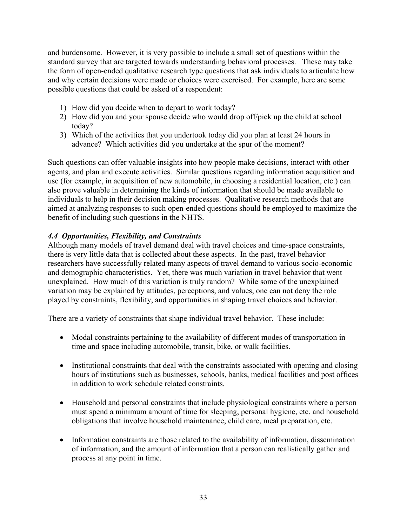and burdensome. However, it is very possible to include a small set of questions within the standard survey that are targeted towards understanding behavioral processes. These may take the form of open-ended qualitative research type questions that ask individuals to articulate how and why certain decisions were made or choices were exercised. For example, here are some possible questions that could be asked of a respondent:

- 1) How did you decide when to depart to work today?
- 2) How did you and your spouse decide who would drop off/pick up the child at school today?
- 3) Which of the activities that you undertook today did you plan at least 24 hours in advance? Which activities did you undertake at the spur of the moment?

Such questions can offer valuable insights into how people make decisions, interact with other agents, and plan and execute activities. Similar questions regarding information acquisition and use (for example, in acquisition of new automobile, in choosing a residential location, etc.) can also prove valuable in determining the kinds of information that should be made available to individuals to help in their decision making processes. Qualitative research methods that are aimed at analyzing responses to such open-ended questions should be employed to maximize the benefit of including such questions in the NHTS.

# *4.4 Opportunities, Flexibility, and Constraints*

Although many models of travel demand deal with travel choices and time-space constraints, there is very little data that is collected about these aspects. In the past, travel behavior researchers have successfully related many aspects of travel demand to various socio-economic and demographic characteristics. Yet, there was much variation in travel behavior that went unexplained. How much of this variation is truly random? While some of the unexplained variation may be explained by attitudes, perceptions, and values, one can not deny the role played by constraints, flexibility, and opportunities in shaping travel choices and behavior.

There are a variety of constraints that shape individual travel behavior. These include:

- Modal constraints pertaining to the availability of different modes of transportation in time and space including automobile, transit, bike, or walk facilities.
- Institutional constraints that deal with the constraints associated with opening and closing hours of institutions such as businesses, schools, banks, medical facilities and post offices in addition to work schedule related constraints.
- Household and personal constraints that include physiological constraints where a person must spend a minimum amount of time for sleeping, personal hygiene, etc. and household obligations that involve household maintenance, child care, meal preparation, etc.
- Information constraints are those related to the availability of information, dissemination of information, and the amount of information that a person can realistically gather and process at any point in time.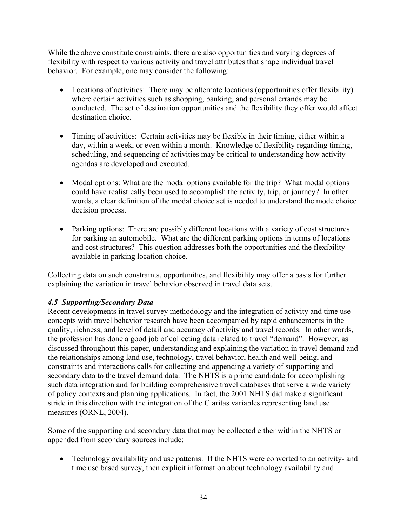While the above constitute constraints, there are also opportunities and varying degrees of flexibility with respect to various activity and travel attributes that shape individual travel behavior. For example, one may consider the following:

- Locations of activities: There may be alternate locations (opportunities offer flexibility) where certain activities such as shopping, banking, and personal errands may be conducted. The set of destination opportunities and the flexibility they offer would affect destination choice.
- Timing of activities: Certain activities may be flexible in their timing, either within a day, within a week, or even within a month. Knowledge of flexibility regarding timing, scheduling, and sequencing of activities may be critical to understanding how activity agendas are developed and executed.
- Modal options: What are the modal options available for the trip? What modal options could have realistically been used to accomplish the activity, trip, or journey? In other words, a clear definition of the modal choice set is needed to understand the mode choice decision process.
- Parking options: There are possibly different locations with a variety of cost structures for parking an automobile. What are the different parking options in terms of locations and cost structures? This question addresses both the opportunities and the flexibility available in parking location choice.

Collecting data on such constraints, opportunities, and flexibility may offer a basis for further explaining the variation in travel behavior observed in travel data sets.

# *4.5 Supporting/Secondary Data*

Recent developments in travel survey methodology and the integration of activity and time use concepts with travel behavior research have been accompanied by rapid enhancements in the quality, richness, and level of detail and accuracy of activity and travel records. In other words, the profession has done a good job of collecting data related to travel "demand". However, as discussed throughout this paper, understanding and explaining the variation in travel demand and the relationships among land use, technology, travel behavior, health and well-being, and constraints and interactions calls for collecting and appending a variety of supporting and secondary data to the travel demand data. The NHTS is a prime candidate for accomplishing such data integration and for building comprehensive travel databases that serve a wide variety of policy contexts and planning applications. In fact, the 2001 NHTS did make a significant stride in this direction with the integration of the Claritas variables representing land use measures (ORNL, 2004).

Some of the supporting and secondary data that may be collected either within the NHTS or appended from secondary sources include:

• Technology availability and use patterns: If the NHTS were converted to an activity- and time use based survey, then explicit information about technology availability and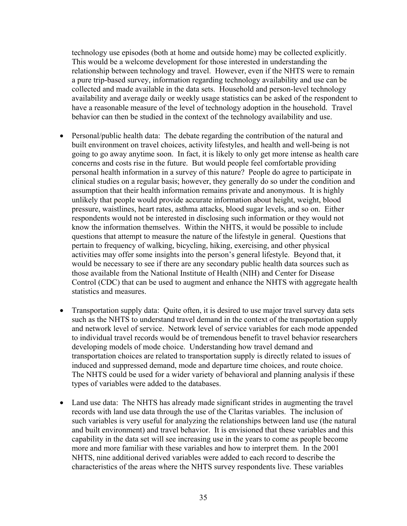technology use episodes (both at home and outside home) may be collected explicitly. This would be a welcome development for those interested in understanding the relationship between technology and travel. However, even if the NHTS were to remain a pure trip-based survey, information regarding technology availability and use can be collected and made available in the data sets. Household and person-level technology availability and average daily or weekly usage statistics can be asked of the respondent to have a reasonable measure of the level of technology adoption in the household. Travel behavior can then be studied in the context of the technology availability and use.

- Personal/public health data: The debate regarding the contribution of the natural and built environment on travel choices, activity lifestyles, and health and well-being is not going to go away anytime soon. In fact, it is likely to only get more intense as health care concerns and costs rise in the future. But would people feel comfortable providing personal health information in a survey of this nature? People do agree to participate in clinical studies on a regular basis; however, they generally do so under the condition and assumption that their health information remains private and anonymous. It is highly unlikely that people would provide accurate information about height, weight, blood pressure, waistlines, heart rates, asthma attacks, blood sugar levels, and so on. Either respondents would not be interested in disclosing such information or they would not know the information themselves. Within the NHTS, it would be possible to include questions that attempt to measure the nature of the lifestyle in general. Questions that pertain to frequency of walking, bicycling, hiking, exercising, and other physical activities may offer some insights into the person's general lifestyle. Beyond that, it would be necessary to see if there are any secondary public health data sources such as those available from the National Institute of Health (NIH) and Center for Disease Control (CDC) that can be used to augment and enhance the NHTS with aggregate health statistics and measures.
- Transportation supply data: Quite often, it is desired to use major travel survey data sets such as the NHTS to understand travel demand in the context of the transportation supply and network level of service. Network level of service variables for each mode appended to individual travel records would be of tremendous benefit to travel behavior researchers developing models of mode choice. Understanding how travel demand and transportation choices are related to transportation supply is directly related to issues of induced and suppressed demand, mode and departure time choices, and route choice. The NHTS could be used for a wider variety of behavioral and planning analysis if these types of variables were added to the databases.
- Land use data: The NHTS has already made significant strides in augmenting the travel records with land use data through the use of the Claritas variables. The inclusion of such variables is very useful for analyzing the relationships between land use (the natural and built environment) and travel behavior. It is envisioned that these variables and this capability in the data set will see increasing use in the years to come as people become more and more familiar with these variables and how to interpret them. In the 2001 NHTS, nine additional derived variables were added to each record to describe the characteristics of the areas where the NHTS survey respondents live. These variables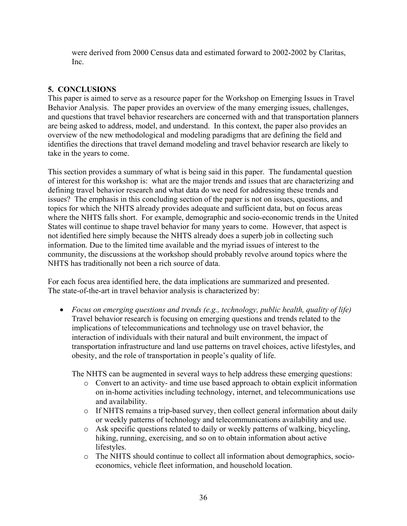were derived from 2000 Census data and estimated forward to 2002-2002 by Claritas, Inc.

# **5. CONCLUSIONS**

This paper is aimed to serve as a resource paper for the Workshop on Emerging Issues in Travel Behavior Analysis. The paper provides an overview of the many emerging issues, challenges, and questions that travel behavior researchers are concerned with and that transportation planners are being asked to address, model, and understand. In this context, the paper also provides an overview of the new methodological and modeling paradigms that are defining the field and identifies the directions that travel demand modeling and travel behavior research are likely to take in the years to come.

This section provides a summary of what is being said in this paper. The fundamental question of interest for this workshop is: what are the major trends and issues that are characterizing and defining travel behavior research and what data do we need for addressing these trends and issues? The emphasis in this concluding section of the paper is not on issues, questions, and topics for which the NHTS already provides adequate and sufficient data, but on focus areas where the NHTS falls short. For example, demographic and socio-economic trends in the United States will continue to shape travel behavior for many years to come. However, that aspect is not identified here simply because the NHTS already does a superb job in collecting such information. Due to the limited time available and the myriad issues of interest to the community, the discussions at the workshop should probably revolve around topics where the NHTS has traditionally not been a rich source of data.

For each focus area identified here, the data implications are summarized and presented. The state-of-the-art in travel behavior analysis is characterized by:

• *Focus on emerging questions and trends (e.g., technology, public health, quality of life)* Travel behavior research is focusing on emerging questions and trends related to the implications of telecommunications and technology use on travel behavior, the interaction of individuals with their natural and built environment, the impact of transportation infrastructure and land use patterns on travel choices, active lifestyles, and obesity, and the role of transportation in people's quality of life.

The NHTS can be augmented in several ways to help address these emerging questions:

- o Convert to an activity- and time use based approach to obtain explicit information on in-home activities including technology, internet, and telecommunications use and availability.
- o If NHTS remains a trip-based survey, then collect general information about daily or weekly patterns of technology and telecommunications availability and use.
- o Ask specific questions related to daily or weekly patterns of walking, bicycling, hiking, running, exercising, and so on to obtain information about active lifestyles.
- o The NHTS should continue to collect all information about demographics, socioeconomics, vehicle fleet information, and household location.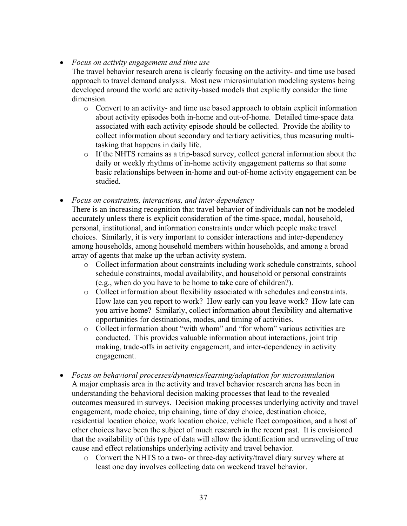• *Focus on activity engagement and time use* 

The travel behavior research arena is clearly focusing on the activity- and time use based approach to travel demand analysis. Most new microsimulation modeling systems being developed around the world are activity-based models that explicitly consider the time dimension.

- o Convert to an activity- and time use based approach to obtain explicit information about activity episodes both in-home and out-of-home. Detailed time-space data associated with each activity episode should be collected. Provide the ability to collect information about secondary and tertiary activities, thus measuring multitasking that happens in daily life.
- o If the NHTS remains as a trip-based survey, collect general information about the daily or weekly rhythms of in-home activity engagement patterns so that some basic relationships between in-home and out-of-home activity engagement can be studied.

• *Focus on constraints, interactions, and inter-dependency* 

There is an increasing recognition that travel behavior of individuals can not be modeled accurately unless there is explicit consideration of the time-space, modal, household, personal, institutional, and information constraints under which people make travel choices. Similarly, it is very important to consider interactions and inter-dependency among households, among household members within households, and among a broad array of agents that make up the urban activity system.

- o Collect information about constraints including work schedule constraints, school schedule constraints, modal availability, and household or personal constraints (e.g., when do you have to be home to take care of children?).
- o Collect information about flexibility associated with schedules and constraints. How late can you report to work? How early can you leave work? How late can you arrive home? Similarly, collect information about flexibility and alternative opportunities for destinations, modes, and timing of activities.
- o Collect information about "with whom" and "for whom" various activities are conducted. This provides valuable information about interactions, joint trip making, trade-offs in activity engagement, and inter-dependency in activity engagement.
- *Focus on behavioral processes/dynamics/learning/adaptation for microsimulation*  A major emphasis area in the activity and travel behavior research arena has been in understanding the behavioral decision making processes that lead to the revealed outcomes measured in surveys. Decision making processes underlying activity and travel engagement, mode choice, trip chaining, time of day choice, destination choice, residential location choice, work location choice, vehicle fleet composition, and a host of other choices have been the subject of much research in the recent past. It is envisioned that the availability of this type of data will allow the identification and unraveling of true cause and effect relationships underlying activity and travel behavior.
	- o Convert the NHTS to a two- or three-day activity/travel diary survey where at least one day involves collecting data on weekend travel behavior.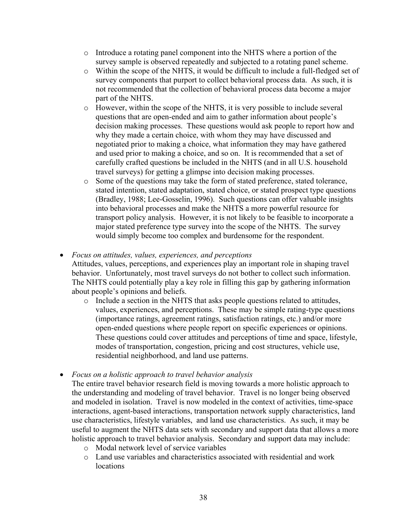- o Introduce a rotating panel component into the NHTS where a portion of the survey sample is observed repeatedly and subjected to a rotating panel scheme.
- o Within the scope of the NHTS, it would be difficult to include a full-fledged set of survey components that purport to collect behavioral process data. As such, it is not recommended that the collection of behavioral process data become a major part of the NHTS.
- o However, within the scope of the NHTS, it is very possible to include several questions that are open-ended and aim to gather information about people's decision making processes. These questions would ask people to report how and why they made a certain choice, with whom they may have discussed and negotiated prior to making a choice, what information they may have gathered and used prior to making a choice, and so on. It is recommended that a set of carefully crafted questions be included in the NHTS (and in all U.S. household travel surveys) for getting a glimpse into decision making processes.
- o Some of the questions may take the form of stated preference, stated tolerance, stated intention, stated adaptation, stated choice, or stated prospect type questions (Bradley, 1988; Lee-Gosselin, 1996). Such questions can offer valuable insights into behavioral processes and make the NHTS a more powerful resource for transport policy analysis. However, it is not likely to be feasible to incorporate a major stated preference type survey into the scope of the NHTS. The survey would simply become too complex and burdensome for the respondent.

#### • *Focus on attitudes, values, experiences, and perceptions*

Attitudes, values, perceptions, and experiences play an important role in shaping travel behavior. Unfortunately, most travel surveys do not bother to collect such information. The NHTS could potentially play a key role in filling this gap by gathering information about people's opinions and beliefs.

- o Include a section in the NHTS that asks people questions related to attitudes, values, experiences, and perceptions. These may be simple rating-type questions (importance ratings, agreement ratings, satisfaction ratings, etc.) and/or more open-ended questions where people report on specific experiences or opinions. These questions could cover attitudes and perceptions of time and space, lifestyle, modes of transportation, congestion, pricing and cost structures, vehicle use, residential neighborhood, and land use patterns.
- *Focus on a holistic approach to travel behavior analysis* 
	- The entire travel behavior research field is moving towards a more holistic approach to the understanding and modeling of travel behavior. Travel is no longer being observed and modeled in isolation. Travel is now modeled in the context of activities, time-space interactions, agent-based interactions, transportation network supply characteristics, land use characteristics, lifestyle variables, and land use characteristics. As such, it may be useful to augment the NHTS data sets with secondary and support data that allows a more holistic approach to travel behavior analysis. Secondary and support data may include:
		- o Modal network level of service variables
		- o Land use variables and characteristics associated with residential and work locations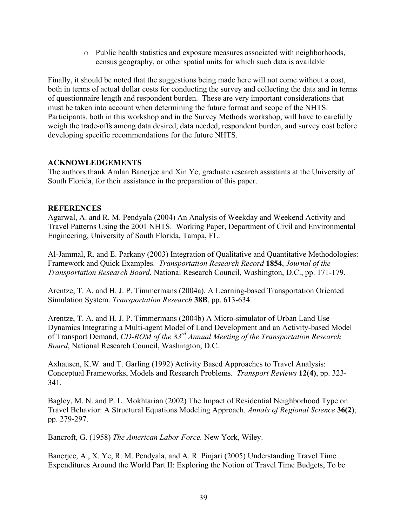o Public health statistics and exposure measures associated with neighborhoods, census geography, or other spatial units for which such data is available

Finally, it should be noted that the suggestions being made here will not come without a cost, both in terms of actual dollar costs for conducting the survey and collecting the data and in terms of questionnaire length and respondent burden. These are very important considerations that must be taken into account when determining the future format and scope of the NHTS. Participants, both in this workshop and in the Survey Methods workshop, will have to carefully weigh the trade-offs among data desired, data needed, respondent burden, and survey cost before developing specific recommendations for the future NHTS.

#### **ACKNOWLEDGEMENTS**

The authors thank Amlan Banerjee and Xin Ye, graduate research assistants at the University of South Florida, for their assistance in the preparation of this paper.

## **REFERENCES**

Agarwal, A. and R. M. Pendyala (2004) An Analysis of Weekday and Weekend Activity and Travel Patterns Using the 2001 NHTS. Working Paper, Department of Civil and Environmental Engineering, University of South Florida, Tampa, FL.

Al-Jammal, R. and E. Parkany (2003) Integration of Qualitative and Quantitative Methodologies: Framework and Quick Examples. *Transportation Research Record* **1854**, *Journal of the Transportation Research Board*, National Research Council, Washington, D.C., pp. 171-179.

Arentze, T. A. and H. J. P. Timmermans (2004a). A Learning-based Transportation Oriented Simulation System. *Transportation Research* **38B**, pp. 613-634.

Arentze, T. A. and H. J. P. Timmermans (2004b) A Micro-simulator of Urban Land Use Dynamics Integrating a Multi-agent Model of Land Development and an Activity-based Model of Transport Demand, *CD-ROM of the 83rd Annual Meeting of the Transportation Research Board*, National Research Council, Washington, D.C.

Axhausen, K.W. and T. Garling (1992) Activity Based Approaches to Travel Analysis: Conceptual Frameworks, Models and Research Problems. *Transport Reviews* **12(4)**, pp. 323- 341.

Bagley, M. N. and P. L. Mokhtarian (2002) The Impact of Residential Neighborhood Type on Travel Behavior: A Structural Equations Modeling Approach. *Annals of Regional Science* **36(2)**, pp. 279-297.

Bancroft, G. (1958) *The American Labor Force.* New York, Wiley.

Banerjee, A., X. Ye, R. M. Pendyala, and A. R. Pinjari (2005) Understanding Travel Time Expenditures Around the World Part II: Exploring the Notion of Travel Time Budgets, To be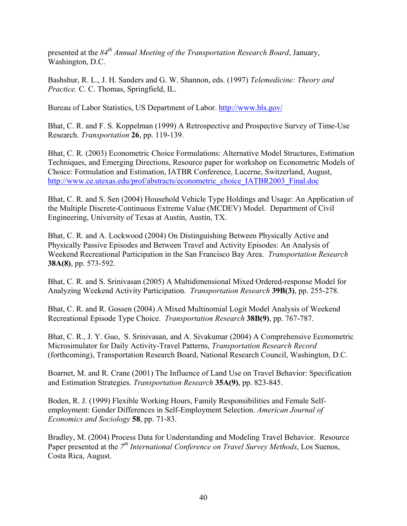presented at the *84th Annual Meeting of the Transportation Research Board*, January, Washington, D.C.

Bashshur, R. L., J. H. Sanders and G. W. Shannon, eds. (1997) *Telemedicine: Theory and Practice.* C. C. Thomas, Springfield, IL.

Bureau of Labor Statistics, US Department of Labor.<http://www.bls.gov/>

Bhat, C. R. and F. S. Koppelman (1999) A Retrospective and Prospective Survey of Time-Use Research. *Transportation* **26**, pp. 119-139.

Bhat, C. R. (2003) Econometric Choice Formulations: Alternative Model Structures, Estimation Techniques, and Emerging Directions, Resource paper for workshop on Econometric Models of Choice: Formulation and Estimation, IATBR Conference, Lucerne, Switzerland, August, [http://www.ce.utexas.edu/prof/abstracts/econometric\\_choice\\_IATBR2003\\_Final.doc](http://www.ce.utexas.edu/prof/abstracts/econometric_choice_IATBR2003_Final.doc)

Bhat, C. R. and S. Sen (2004) Household Vehicle Type Holdings and Usage: An Application of the Multiple Discrete-Continuous Extreme Value (MCDEV) Model. Department of Civil Engineering, University of Texas at Austin, Austin, TX.

Bhat, C. R. and A. Lockwood (2004) On Distinguishing Between Physically Active and Physically Passive Episodes and Between Travel and Activity Episodes: An Analysis of Weekend Recreational Participation in the San Francisco Bay Area. *Transportation Research*  **38A(8)**, pp. 573-592.

Bhat, C. R. and S. Srinivasan (2005) A Multidimensional Mixed Ordered-response Model for Analyzing Weekend Activity Participation. *Transportation Research* **39B(3)**, pp. 255-278.

Bhat, C. R. and R. Gossen (2004) A Mixed Multinomial Logit Model Analysis of Weekend Recreational Episode Type Choice. *Transportation Research* **38B(9)**, pp. 767-787.

Bhat, C. R., J. Y. Guo, S. Srinivasan, and A. Sivakumar (2004) A Comprehensive Econometric Microsimulator for Daily Activity-Travel Patterns, *Transportation Research Record* (forthcoming), Transportation Research Board, National Research Council, Washington, D.C.

Boarnet, M. and R. Crane (2001) The Influence of Land Use on Travel Behavior: Specification and Estimation Strategies. *Transportation Research* **35A(9)**, pp. 823-845.

Boden, R. J. (1999) Flexible Working Hours, Family Responsibilities and Female Selfemployment: Gender Differences in Self-Employment Selection. *American Journal of Economics and Sociology* **58**, pp. 71-83.

Bradley, M. (2004) Process Data for Understanding and Modeling Travel Behavior. Resource Paper presented at the 7<sup>th</sup> International Conference on Travel Survey Methods, Los Suenos, Costa Rica, August.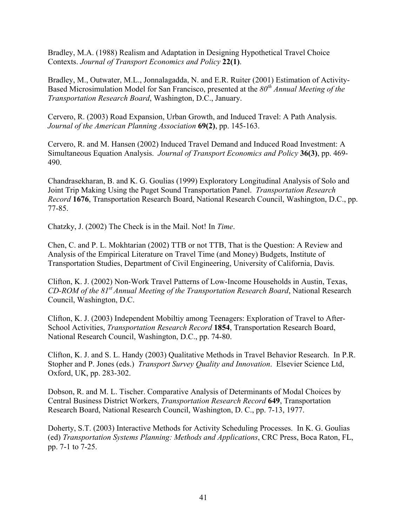Bradley, M.A. (1988) Realism and Adaptation in Designing Hypothetical Travel Choice Contexts. *Journal of Transport Economics and Policy* **22(1)**.

Bradley, M., Outwater, M.L., Jonnalagadda, N. and E.R. Ruiter (2001) Estimation of Activity-Based Microsimulation Model for San Francisco, presented at the *80th Annual Meeting of the Transportation Research Board*, Washington, D.C., January.

Cervero, R. (2003) Road Expansion, Urban Growth, and Induced Travel: A Path Analysis. *Journal of the American Planning Association* **69(2)**, pp. 145-163.

Cervero, R. and M. Hansen (2002) Induced Travel Demand and Induced Road Investment: A Simultaneous Equation Analysis. *Journal of Transport Economics and Policy* **36(3)**, pp. 469- 490.

Chandrasekharan, B. and K. G. Goulias (1999) Exploratory Longitudinal Analysis of Solo and Joint Trip Making Using the Puget Sound Transportation Panel. *Transportation Research Record* **1676**, Transportation Research Board, National Research Council, Washington, D.C., pp. 77-85.

Chatzky, J. (2002) The Check is in the Mail. Not! In *Time*.

Chen, C. and P. L. Mokhtarian (2002) TTB or not TTB, That is the Question: A Review and Analysis of the Empirical Literature on Travel Time (and Money) Budgets, Institute of Transportation Studies, Department of Civil Engineering, University of California, Davis.

Clifton, K. J. (2002) Non-Work Travel Patterns of Low-Income Households in Austin, Texas, *CD-ROM of the 81st Annual Meeting of the Transportation Research Board*, National Research Council, Washington, D.C.

Clifton, K. J. (2003) Independent Mobiltiy among Teenagers: Exploration of Travel to After-School Activities, *Transportation Research Record* **1854**, Transportation Research Board, National Research Council, Washington, D.C., pp. 74-80.

Clifton, K. J. and S. L. Handy (2003) Qualitative Methods in Travel Behavior Research. In P.R. Stopher and P. Jones (eds.) *Transport Survey Quality and Innovation*. Elsevier Science Ltd, Oxford, UK, pp. 283-302.

Dobson, R. and M. L. Tischer. Comparative Analysis of Determinants of Modal Choices by Central Business District Workers, *Transportation Research Record* **649**, Transportation Research Board, National Research Council, Washington, D. C., pp. 7-13, 1977.

Doherty, S.T. (2003) Interactive Methods for Activity Scheduling Processes. In K. G. Goulias (ed) *Transportation Systems Planning: Methods and Applications*, CRC Press, Boca Raton, FL, pp. 7-1 to 7-25.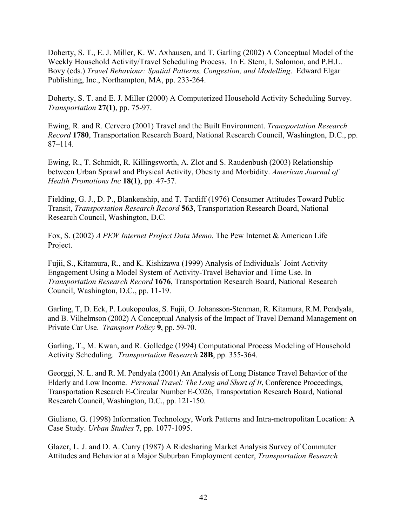Doherty, S. T., E. J. Miller, K. W. Axhausen, and T. Garling (2002) A Conceptual Model of the Weekly Household Activity/Travel Scheduling Process. In E. Stern, I. Salomon, and P.H.L. Bovy (eds.) *Travel Behaviour: Spatial Patterns, Congestion, and Modelling*. Edward Elgar Publishing, Inc., Northampton, MA, pp. 233-264.

Doherty, S. T. and E. J. Miller (2000) A Computerized Household Activity Scheduling Survey. *Transportation* **27(1)**, pp. 75-97.

Ewing, R. and R. Cervero (2001) Travel and the Built Environment. *Transportation Research Record* **1780**, Transportation Research Board, National Research Council, Washington, D.C., pp. 87–114.

Ewing, R., T. Schmidt, R. Killingsworth, A. Zlot and S. Raudenbush (2003) Relationship between Urban Sprawl and Physical Activity, Obesity and Morbidity. *American Journal of Health Promotions Inc* **18(1)**, pp. 47-57.

Fielding, G. J., D. P., Blankenship, and T. Tardiff (1976) Consumer Attitudes Toward Public Transit, *Transportation Research Record* **563**, Transportation Research Board, National Research Council, Washington, D.C.

Fox, S. (2002) *A PEW Internet Project Data Memo*. The Pew Internet & American Life Project.

Fujii, S., Kitamura, R., and K. Kishizawa (1999) Analysis of Individuals' Joint Activity Engagement Using a Model System of Activity-Travel Behavior and Time Use. In *Transportation Research Record* **1676**, Transportation Research Board, National Research Council, Washington, D.C., pp. 11-19.

Garling, T, D. Eek, P. Loukopoulos, S. Fujii, O. Johansson-Stenman, R. Kitamura, R.M. Pendyala, and B. Vilhelmson (2002) A Conceptual Analysis of the Impact of Travel Demand Management on Private Car Use. *Transport Policy* **9**, pp. 59-70.

Garling, T., M. Kwan, and R. Golledge (1994) Computational Process Modeling of Household Activity Scheduling. *Transportation Research* **28B**, pp. 355-364.

Georggi, N. L. and R. M. Pendyala (2001) An Analysis of Long Distance Travel Behavior of the Elderly and Low Income. *Personal Travel: The Long and Short of It*, Conference Proceedings, Transportation Research E-Circular Number E-C026, Transportation Research Board, National Research Council, Washington, D.C., pp. 121-150.

Giuliano, G. (1998) Information Technology, Work Patterns and Intra-metropolitan Location: A Case Study. *Urban Studies* **7**, pp. 1077-1095.

Glazer, L. J. and D. A. Curry (1987) A Ridesharing Market Analysis Survey of Commuter Attitudes and Behavior at a Major Suburban Employment center, *Transportation Research*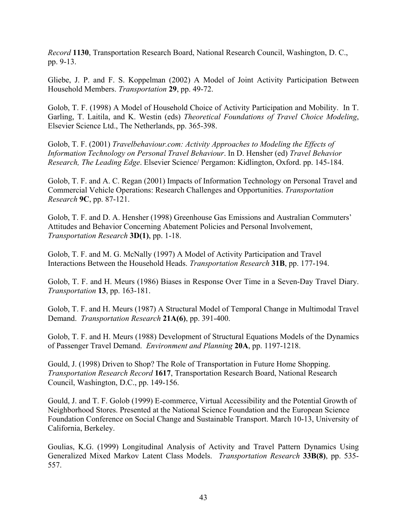*Record* **1130**, Transportation Research Board, National Research Council, Washington, D. C., pp. 9-13.

Gliebe, J. P. and F. S. Koppelman (2002) A Model of Joint Activity Participation Between Household Members. *Transportation* **29**, pp. 49-72.

Golob, T. F. (1998) A Model of Household Choice of Activity Participation and Mobility. In T. Garling, T. Laitila, and K. Westin (eds) *Theoretical Foundations of Travel Choice Modeling*, Elsevier Science Ltd., The Netherlands, pp. 365-398.

Golob, T. F. (2001) *Travelbehaviour.com: Activity Approaches to Modeling the Effects of Information Technology on Personal Travel Behaviour*. In D. Hensher (ed) *Travel Behavior Research, The Leading Edge*. Elsevier Science/ Pergamon: Kidlington, Oxford. pp. 145-184.

Golob, T. F. and A. C. Regan (2001) Impacts of Information Technology on Personal Travel and Commercial Vehicle Operations: Research Challenges and Opportunities. *Transportation Research* **9C**, pp. 87-121.

Golob, T. F. and D. A. Hensher (1998) Greenhouse Gas Emissions and Australian Commuters' Attitudes and Behavior Concerning Abatement Policies and Personal Involvement, *Transportation Research* **3D(1)**, pp. 1-18.

Golob, T. F. and M. G. McNally (1997) A Model of Activity Participation and Travel Interactions Between the Household Heads. *Transportation Research* **31B**, pp. 177-194.

Golob, T. F. and H. Meurs (1986) Biases in Response Over Time in a Seven-Day Travel Diary. *Transportation* **13**, pp. 163-181.

Golob, T. F. and H. Meurs (1987) A Structural Model of Temporal Change in Multimodal Travel Demand. *Transportation Research* **21A(6)**, pp. 391-400.

Golob, T. F. and H. Meurs (1988) Development of Structural Equations Models of the Dynamics of Passenger Travel Demand. *Environment and Planning* **20A**, pp. 1197-1218.

Gould, J. (1998) Driven to Shop? The Role of Transportation in Future Home Shopping. *Transportation Research Record* **1617**, Transportation Research Board, National Research Council, Washington, D.C., pp. 149-156.

Gould, J. and T. F. Golob (1999) E-commerce, Virtual Accessibility and the Potential Growth of Neighborhood Stores. Presented at the National Science Foundation and the European Science Foundation Conference on Social Change and Sustainable Transport. March 10-13, University of California, Berkeley.

Goulias, K.G. (1999) Longitudinal Analysis of Activity and Travel Pattern Dynamics Using Generalized Mixed Markov Latent Class Models. *Transportation Research* **33B(8)**, pp. 535- 557.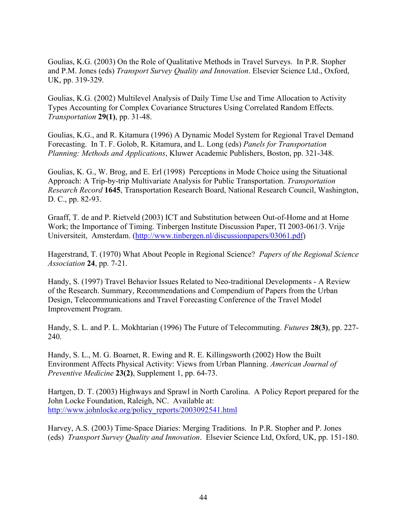Goulias, K.G. (2003) On the Role of Qualitative Methods in Travel Surveys. In P.R. Stopher and P.M. Jones (eds) *Transport Survey Quality and Innovation*. Elsevier Science Ltd., Oxford, UK, pp. 319-329.

Goulias, K.G. (2002) Multilevel Analysis of Daily Time Use and Time Allocation to Activity Types Accounting for Complex Covariance Structures Using Correlated Random Effects. *Transportation* **29(1)**, pp. 31-48.

Goulias, K.G., and R. Kitamura (1996) A Dynamic Model System for Regional Travel Demand Forecasting. In T. F. Golob, R. Kitamura, and L. Long (eds) *Panels for Transportation Planning: Methods and Applications*, Kluwer Academic Publishers, Boston, pp. 321-348.

Goulias, K. G., W. Brog, and E. Erl (1998) Perceptions in Mode Choice using the Situational Approach: A Trip-by-trip Multivariate Analysis for Public Transportation. *Transportation Research Record* **1645**, Transportation Research Board, National Research Council, Washington, D. C., pp. 82-93.

Graaff, T. de and P. Rietveld (2003) ICT and Substitution between Out-of-Home and at Home Work; the Importance of Timing. Tinbergen Institute Discussion Paper, TI 2003-061/3. Vrije Universiteit, Amsterdam. ([http://www.tinbergen.nl/discussionpapers/03061.pdf\)](http://www.tinbergen.nl/discussionpapers/03061.pdf)

Hagerstrand, T. (1970) What About People in Regional Science? *Papers of the Regional Science Association* **24**, pp. 7-21.

Handy, S. (1997) Travel Behavior Issues Related to Neo-traditional Developments - A Review of the Research. Summary, Recommendations and Compendium of Papers from the Urban Design, Telecommunications and Travel Forecasting Conference of the Travel Model Improvement Program.

Handy, S. L. and P. L. Mokhtarian (1996) The Future of Telecommuting. *Futures* **28(3)**, pp. 227- 240.

Handy, S. L., M. G. Boarnet, R. Ewing and R. E. Killingsworth (2002) How the Built Environment Affects Physical Activity: Views from Urban Planning. *American Journal of Preventive Medicine* **23(2)**, Supplement 1, pp. 64-73.

Hartgen, D. T. (2003) Highways and Sprawl in North Carolina. A Policy Report prepared for the John Locke Foundation, Raleigh, NC. Available at: [http://www.johnlocke.org/policy\\_reports/2003092541.html](http://www.johnlocke.org/policy_reports/2003092541.html)

Harvey, A.S. (2003) Time-Space Diaries: Merging Traditions. In P.R. Stopher and P. Jones (eds) *Transport Survey Quality and Innovation*. Elsevier Science Ltd, Oxford, UK, pp. 151-180.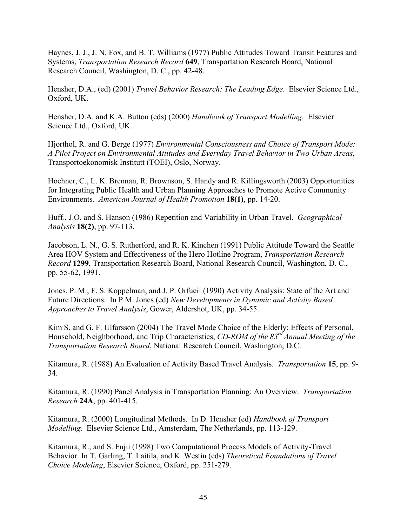Haynes, J. J., J. N. Fox, and B. T. Williams (1977) Public Attitudes Toward Transit Features and Systems, *Transportation Research Record* **649**, Transportation Research Board, National Research Council, Washington, D. C., pp. 42-48.

Hensher, D.A., (ed) (2001) *Travel Behavior Research: The Leading Edge*. Elsevier Science Ltd., Oxford, UK.

Hensher, D.A. and K.A. Button (eds) (2000) *Handbook of Transport Modelling*. Elsevier Science Ltd., Oxford, UK.

Hjorthol, R. and G. Berge (1977) *Environmental Consciousness and Choice of Transport Mode: A Pilot Project on Environmental Attitudes and Everyday Travel Behavior in Two Urban Areas*, Transportoekonomisk Institutt (TOEI), Oslo, Norway.

Hoehner, C., L. K. Brennan, R. Brownson, S. Handy and R. Killingsworth (2003) Opportunities for Integrating Public Health and Urban Planning Approaches to Promote Active Community Environments. *American Journal of Health Promotion* **18(1)**, pp. 14-20.

Huff., J.O. and S. Hanson (1986) Repetition and Variability in Urban Travel. *Geographical Analysis* **18(2)**, pp. 97-113.

Jacobson, L. N., G. S. Rutherford, and R. K. Kinchen (1991) Public Attitude Toward the Seattle Area HOV System and Effectiveness of the Hero Hotline Program, *Transportation Research Record* **1299**, Transportation Research Board, National Research Council, Washington, D. C., pp. 55-62, 1991.

Jones, P. M., F. S. Koppelman, and J. P. Orfueil (1990) Activity Analysis: State of the Art and Future Directions. In P.M. Jones (ed) *New Developments in Dynamic and Activity Based Approaches to Travel Analysis*, Gower, Aldershot, UK, pp. 34-55.

Kim S. and G. F. Ulfarsson (2004) The Travel Mode Choice of the Elderly: Effects of Personal, Household, Neighborhood, and Trip Characteristics, *CD-ROM of the 83rd Annual Meeting of the Transportation Research Board*, National Research Council, Washington, D.C.

Kitamura, R. (1988) An Evaluation of Activity Based Travel Analysis. *Transportation* **15**, pp. 9- 34.

Kitamura, R. (1990) Panel Analysis in Transportation Planning: An Overview. *Transportation Research* **24A**, pp. 401-415.

Kitamura, R. (2000) Longitudinal Methods. In D. Hensher (ed) *Handbook of Transport Modelling*. Elsevier Science Ltd., Amsterdam, The Netherlands, pp. 113-129.

Kitamura, R., and S. Fujii (1998) Two Computational Process Models of Activity-Travel Behavior. In T. Garling, T. Laitila, and K. Westin (eds) *Theoretical Foundations of Travel Choice Modeling*, Elsevier Science, Oxford, pp. 251-279.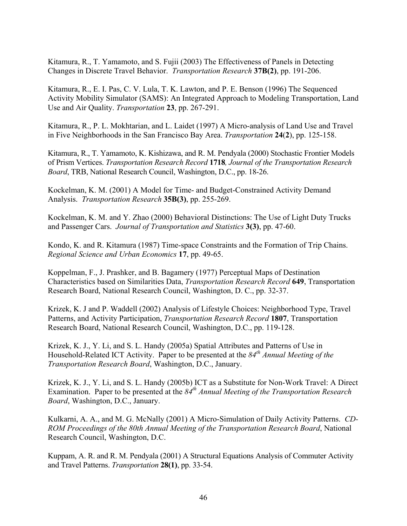Kitamura, R., T. Yamamoto, and S. Fujii (2003) The Effectiveness of Panels in Detecting Changes in Discrete Travel Behavior. *Transportation Research* **37B(2)**, pp. 191-206.

Kitamura, R., E. I. Pas, C. V. Lula, T. K. Lawton, and P. E. Benson (1996) The Sequenced Activity Mobility Simulator (SAMS): An Integrated Approach to Modeling Transportation, Land Use and Air Quality. *Transportation* **23**, pp. 267-291.

Kitamura, R., P. L. Mokhtarian, and L. Laidet (1997) A Micro-analysis of Land Use and Travel in Five Neighborhoods in the San Francisco Bay Area. *Transportation* **24**(**2**), pp. 125-158.

Kitamura, R., T. Yamamoto, K. Kishizawa, and R. M. Pendyala (2000) Stochastic Frontier Models of Prism Vertices. *Transportation Research Record* **1718***, Journal of the Transportation Research Board*, TRB, National Research Council, Washington, D.C., pp. 18-26.

Kockelman, K. M. (2001) A Model for Time- and Budget-Constrained Activity Demand Analysis. *Transportation Research* **35B(3)**, pp. 255-269.

Kockelman, K. M. and Y. Zhao (2000) Behavioral Distinctions: The Use of Light Duty Trucks and Passenger Cars. *Journal of Transportation and Statistics* **3(3)**, pp. 47-60.

Kondo, K. and R. Kitamura (1987) Time-space Constraints and the Formation of Trip Chains. *Regional Science and Urban Economics* **17**, pp. 49-65.

Koppelman, F., J. Prashker, and B. Bagamery (1977) Perceptual Maps of Destination Characteristics based on Similarities Data, *Transportation Research Record* **649**, Transportation Research Board, National Research Council, Washington, D. C., pp. 32-37.

Krizek, K. J and P. Waddell (2002) Analysis of Lifestyle Choices: Neighborhood Type, Travel Patterns, and Activity Participation, *Transportation Research Record* **1807**, Transportation Research Board, National Research Council, Washington, D.C., pp. 119-128.

Krizek, K. J., Y. Li, and S. L. Handy (2005a) Spatial Attributes and Patterns of Use in Household-Related ICT Activity. Paper to be presented at the *84th Annual Meeting of the Transportation Research Board*, Washington, D.C., January.

Krizek, K. J., Y. Li, and S. L. Handy (2005b) ICT as a Substitute for Non-Work Travel: A Direct Examination. Paper to be presented at the *84th Annual Meeting of the Transportation Research Board*, Washington, D.C., January.

Kulkarni, A. A., and M. G. McNally (2001) A Micro-Simulation of Daily Activity Patterns. *CD-ROM Proceedings of the 80th Annual Meeting of the Transportation Research Board*, National Research Council, Washington, D.C.

Kuppam, A. R. and R. M. Pendyala (2001) A Structural Equations Analysis of Commuter Activity and Travel Patterns. *Transportation* **28(1)**, pp. 33-54.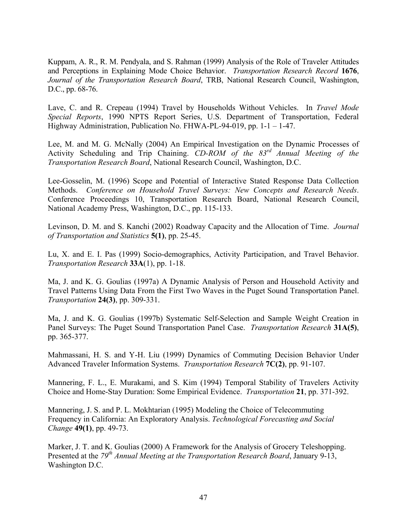Kuppam, A. R., R. M. Pendyala, and S. Rahman (1999) Analysis of the Role of Traveler Attitudes and Perceptions in Explaining Mode Choice Behavior. *Transportation Research Record* **1676**, *Journal of the Transportation Research Board*, TRB, National Research Council, Washington, D.C., pp. 68-76.

Lave, C. and R. Crepeau (1994) Travel by Households Without Vehicles. In *Travel Mode Special Reports*, 1990 NPTS Report Series, U.S. Department of Transportation, Federal Highway Administration, Publication No. FHWA-PL-94-019, pp. 1-1 – 1-47.

Lee, M. and M. G. McNally (2004) An Empirical Investigation on the Dynamic Processes of Activity Scheduling and Trip Chaining. *CD-ROM of the 83rd Annual Meeting of the Transportation Research Board*, National Research Council, Washington, D.C.

Lee-Gosselin, M. (1996) Scope and Potential of Interactive Stated Response Data Collection Methods. *Conference on Household Travel Surveys: New Concepts and Research Needs*. Conference Proceedings 10, Transportation Research Board, National Research Council, National Academy Press, Washington, D.C., pp. 115-133.

Levinson, D. M. and S. Kanchi (2002) Roadway Capacity and the Allocation of Time. *Journal of Transportation and Statistics* **5(1)**, pp. 25-45.

Lu, X. and E. I. Pas (1999) Socio-demographics, Activity Participation, and Travel Behavior. *Transportation Research* **33A**(1), pp. 1-18.

Ma, J. and K. G. Goulias (1997a) A Dynamic Analysis of Person and Household Activity and Travel Patterns Using Data From the First Two Waves in the Puget Sound Transportation Panel. *Transportation* **24(3)**, pp. 309-331.

Ma, J. and K. G. Goulias (1997b) Systematic Self-Selection and Sample Weight Creation in Panel Surveys: The Puget Sound Transportation Panel Case. *Transportation Research* **31A(5)**, pp. 365-377.

Mahmassani, H. S. and Y-H. Liu (1999) Dynamics of Commuting Decision Behavior Under Advanced Traveler Information Systems. *Transportation Research* **7C(2)**, pp. 91-107.

Mannering, F. L., E. Murakami, and S. Kim (1994) Temporal Stability of Travelers Activity Choice and Home-Stay Duration: Some Empirical Evidence. *Transportation* **21**, pp. 371-392.

Mannering, J. S. and P. L. Mokhtarian (1995) Modeling the Choice of Telecommuting Frequency in California: An Exploratory Analysis. *Technological Forecasting and Social Change* **49(1)**, pp. 49-73.

Marker, J. T. and K. Goulias (2000) A Framework for the Analysis of Grocery Teleshopping. Presented at the *79th Annual Meeting at the Transportation Research Board*, January 9-13, Washington D.C.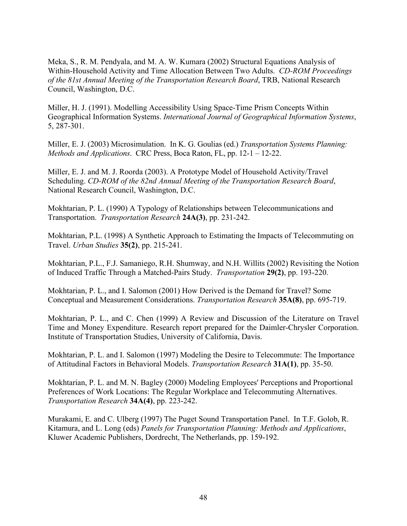Meka, S., R. M. Pendyala, and M. A. W. Kumara (2002) Structural Equations Analysis of Within-Household Activity and Time Allocation Between Two Adults. *CD-ROM Proceedings of the 81st Annual Meeting of the Transportation Research Board*, TRB, National Research Council, Washington, D.C.

Miller, H. J. (1991). Modelling Accessibility Using Space-Time Prism Concepts Within Geographical Information Systems. *International Journal of Geographical Information Systems*, 5, 287-301.

Miller, E. J. (2003) Microsimulation. In K. G. Goulias (ed.) *Transportation Systems Planning: Methods and Applications*. CRC Press, Boca Raton, FL, pp. 12-1 – 12-22.

Miller, E. J. and M. J. Roorda (2003). A Prototype Model of Household Activity/Travel Scheduling. *CD-ROM of the 82nd Annual Meeting of the Transportation Research Board*, National Research Council, Washington, D.C.

Mokhtarian, P. L. (1990) A Typology of Relationships between Telecommunications and Transportation. *Transportation Research* **24A(3)**, pp. 231-242.

Mokhtarian, P.L. (1998) A Synthetic Approach to Estimating the Impacts of Telecommuting on Travel. *Urban Studies* **35(2)**, pp. 215-241.

Mokhtarian, P.L., F.J. Samaniego, R.H. Shumway, and N.H. Willits (2002) Revisiting the Notion of Induced Traffic Through a Matched-Pairs Study. *Transportation* **29(2)**, pp. 193-220.

Mokhtarian, P. L., and I. Salomon (2001) How Derived is the Demand for Travel? Some Conceptual and Measurement Considerations. *Transportation Research* **35A(8)**, pp. 695-719.

Mokhtarian, P. L., and C. Chen (1999) A Review and Discussion of the Literature on Travel Time and Money Expenditure. Research report prepared for the Daimler-Chrysler Corporation. Institute of Transportation Studies, University of California, Davis.

Mokhtarian, P. L. and I. Salomon (1997) Modeling the Desire to Telecommute: The Importance of Attitudinal Factors in Behavioral Models. *Transportation Research* **31A(1)**, pp. 35-50.

Mokhtarian, P. L. and M. N. Bagley (2000) Modeling Employees' Perceptions and Proportional Preferences of Work Locations: The Regular Workplace and Telecommuting Alternatives. *Transportation Research* **34A(4)**, pp. 223-242.

Murakami, E. and C. Ulberg (1997) The Puget Sound Transportation Panel. In T.F. Golob, R. Kitamura, and L. Long (eds) *Panels for Transportation Planning: Methods and Applications*, Kluwer Academic Publishers, Dordrecht, The Netherlands, pp. 159-192.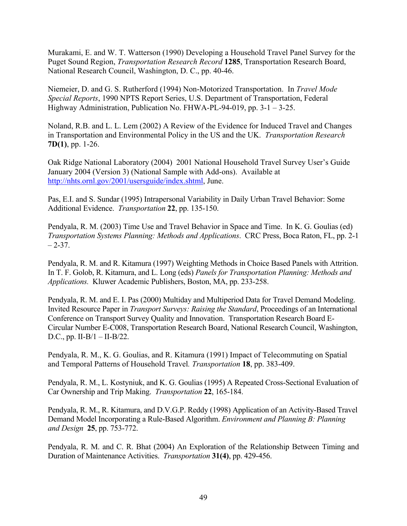Murakami, E. and W. T. Watterson (1990) Developing a Household Travel Panel Survey for the Puget Sound Region, *Transportation Research Record* **1285**, Transportation Research Board, National Research Council, Washington, D. C., pp. 40-46.

Niemeier, D. and G. S. Rutherford (1994) Non-Motorized Transportation. In *Travel Mode Special Reports*, 1990 NPTS Report Series, U.S. Department of Transportation, Federal Highway Administration, Publication No. FHWA-PL-94-019, pp. 3-1 – 3-25.

Noland, R.B. and L. L. Lem (2002) A Review of the Evidence for Induced Travel and Changes in Transportation and Environmental Policy in the US and the UK. *Transportation Research*  **7D(1)**, pp. 1-26.

Oak Ridge National Laboratory (2004) 2001 National Household Travel Survey User's Guide January 2004 (Version 3) (National Sample with Add-ons). Available at [http://nhts.ornl.gov/2001/usersguide/index.shtml,](http://nhts.ornl.gov/2001/usersguide/index.shtml) June.

Pas, E.I. and S. Sundar (1995) Intrapersonal Variability in Daily Urban Travel Behavior: Some Additional Evidence. *Transportation* **22**, pp. 135-150.

Pendyala, R. M. (2003) Time Use and Travel Behavior in Space and Time. In K. G. Goulias (ed) *Transportation Systems Planning: Methods and Applications*. CRC Press, Boca Raton, FL, pp. 2-1  $-2-37.$ 

Pendyala, R. M. and R. Kitamura (1997) Weighting Methods in Choice Based Panels with Attrition. In T. F. Golob, R. Kitamura, and L. Long (eds) *Panels for Transportation Planning: Methods and Applications.* Kluwer Academic Publishers, Boston, MA, pp. 233-258.

Pendyala, R. M. and E. I. Pas (2000) Multiday and Multiperiod Data for Travel Demand Modeling. Invited Resource Paper in *Transport Surveys: Raising the Standard*, Proceedings of an International Conference on Transport Survey Quality and Innovation. Transportation Research Board E-Circular Number E-C008, Transportation Research Board, National Research Council, Washington, D.C., pp. II-B/1 – II-B/22.

Pendyala, R. M., K. G. Goulias, and R. Kitamura (1991) Impact of Telecommuting on Spatial and Temporal Patterns of Household Travel*. Transportation* **18**, pp. 383-409.

Pendyala, R. M., L. Kostyniuk, and K. G. Goulias (1995) A Repeated Cross-Sectional Evaluation of Car Ownership and Trip Making. *Transportation* **22**, 165-184.

Pendyala, R. M., R. Kitamura, and D.V.G.P. Reddy (1998) Application of an Activity-Based Travel Demand Model Incorporating a Rule-Based Algorithm. *Environment and Planning B: Planning and Design* **25**, pp. 753-772.

Pendyala, R. M. and C. R. Bhat (2004) An Exploration of the Relationship Between Timing and Duration of Maintenance Activities. *Transportation* **31(4)**, pp. 429-456.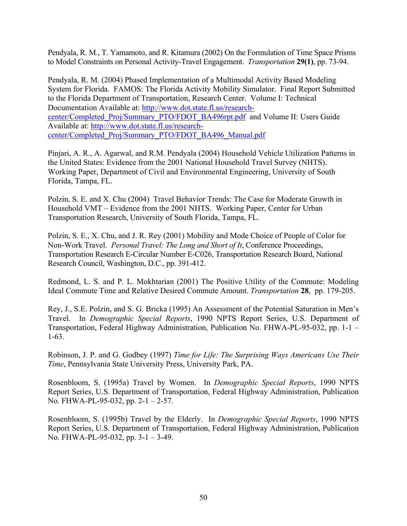Pendyala, R. M., T. Yamamoto, and R. Kitamura (2002) On the Formulation of Time Space Prisms to Model Constraints on Personal Activity-Travel Engagement. *Transportation* **29(1)**, pp. 73-94.

Pendyala, R. M. (2004) Phased Implementation of a Multimodal Activity Based Modeling System for Florida. FAMOS: The Florida Activity Mobility Simulator. Final Report Submitted to the Florida Department of Transportation, Research Center. Volume I: Technical Documentation Available at: [http://www.dot.state.fl.us/research](http://www.dot.state.fl.us/research-center/Completed_Proj/Summary_PTO/FDOT_BA496rpt.pdf)[center/Completed\\_Proj/Summary\\_PTO/FDOT\\_BA496rpt.pdf](http://www.dot.state.fl.us/research-center/Completed_Proj/Summary_PTO/FDOT_BA496rpt.pdf) and Volume II: Users Guide Available at: [http://www.dot.state.fl.us/research](http://www.dot.state.fl.us/research-center/Completed_Proj/Summary_PTO/FDOT_BA496_Manual.pdf)[center/Completed\\_Proj/Summary\\_PTO/FDOT\\_BA496\\_Manual.pdf](http://www.dot.state.fl.us/research-center/Completed_Proj/Summary_PTO/FDOT_BA496_Manual.pdf) 

Pinjari, A. R., A. Agarwal, and R.M. Pendyala (2004) Household Vehicle Utilization Patterns in the United States: Evidence from the 2001 National Household Travel Survey (NHTS). Working Paper, Department of Civil and Environmental Engineering, University of South Florida, Tampa, FL.

Polzin, S. E. and X. Chu (2004) Travel Behavior Trends: The Case for Moderate Growth in Household VMT – Evidence from the 2001 NHTS. Working Paper, Center for Urban Transportation Research, University of South Florida, Tampa, FL.

Polzin, S. E., X. Chu, and J. R. Rey (2001) Mobility and Mode Choice of People of Color for Non-Work Travel. *Personal Travel: The Long and Short of It*, Conference Proceedings, Transportation Research E-Circular Number E-C026, Transportation Research Board, National Research Council, Washington, D.C., pp. 391-412.

Redmond, L. S. and P. L. Mokhtarian (2001) The Positive Utility of the Commute: Modeling Ideal Commute Time and Relative Desired Commute Amount. *Transportation* **28**, pp. 179-205.

Rey, J., S.E. Polzin, and S. G. Bricka (1995) An Assessment of the Potential Saturation in Men's Travel. In *Demographic Special Reports*, 1990 NPTS Report Series, U.S. Department of Transportation, Federal Highway Administration, Publication No. FHWA-PL-95-032, pp. 1-1 – 1-63.

Robinson, J. P. and G. Godbey (1997) *Time for Life: The Surprising Ways Americans Use Their Time*, Pennsylvania State University Press, University Park, PA.

Rosenbloom, S. (1995a) Travel by Women. In *Demographic Special Reports*, 1990 NPTS Report Series, U.S. Department of Transportation, Federal Highway Administration, Publication No. FHWA-PL-95-032, pp. 2-1 – 2-57.

Rosenbloom, S. (1995b) Travel by the Elderly. In *Demographic Special Reports*, 1990 NPTS Report Series, U.S. Department of Transportation, Federal Highway Administration, Publication No. FHWA-PL-95-032, pp. 3-1 – 3-49.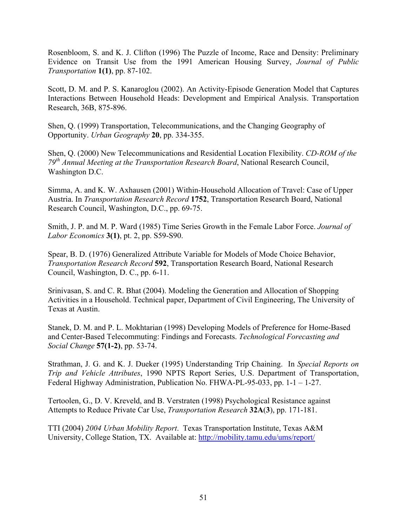Rosenbloom, S. and K. J. Clifton (1996) The Puzzle of Income, Race and Density: Preliminary Evidence on Transit Use from the 1991 American Housing Survey, *Journal of Public Transportation* **1(1)**, pp. 87-102.

Scott, D. M. and P. S. Kanaroglou (2002). An Activity-Episode Generation Model that Captures Interactions Between Household Heads: Development and Empirical Analysis. Transportation Research, 36B, 875-896.

Shen, Q. (1999) Transportation, Telecommunications, and the Changing Geography of Opportunity. *Urban Geography* **20**, pp. 334-355.

Shen, Q. (2000) New Telecommunications and Residential Location Flexibility. *CD-ROM of the 79th Annual Meeting at the Transportation Research Board*, National Research Council, Washington D.C.

Simma, A. and K. W. Axhausen (2001) Within-Household Allocation of Travel: Case of Upper Austria. In *Transportation Research Record* **1752**, Transportation Research Board, National Research Council, Washington, D.C., pp. 69-75.

Smith, J. P. and M. P. Ward (1985) Time Series Growth in the Female Labor Force. *Journal of Labor Economics* **3(1)**, pt. 2, pp. S59-S90.

Spear, B. D. (1976) Generalized Attribute Variable for Models of Mode Choice Behavior, *Transportation Research Record* **592**, Transportation Research Board, National Research Council, Washington, D. C., pp. 6-11.

Srinivasan, S. and C. R. Bhat (2004). Modeling the Generation and Allocation of Shopping Activities in a Household. Technical paper, Department of Civil Engineering, The University of Texas at Austin.

Stanek, D. M. and P. L. Mokhtarian (1998) Developing Models of Preference for Home-Based and Center-Based Telecommuting: Findings and Forecasts. *Technological Forecasting and Social Change* **57(1-2)**, pp. 53-74.

Strathman, J. G. and K. J. Dueker (1995) Understanding Trip Chaining. In *Special Reports on Trip and Vehicle Attributes*, 1990 NPTS Report Series, U.S. Department of Transportation, Federal Highway Administration, Publication No. FHWA-PL-95-033, pp. 1-1 – 1-27.

Tertoolen, G., D. V. Kreveld, and B. Verstraten (1998) Psychological Resistance against Attempts to Reduce Private Car Use, *Transportation Research* **32A**(**3**), pp. 171-181.

TTI (2004) *2004 Urban Mobility Report*. Texas Transportation Institute, Texas A&M University, College Station, TX. Available at: <http://mobility.tamu.edu/ums/report/>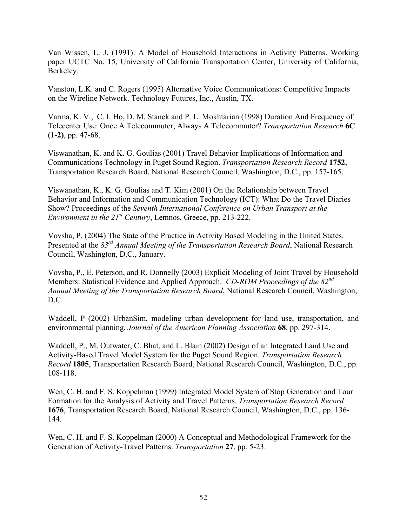Van Wissen, L. J. (1991). A Model of Household Interactions in Activity Patterns. Working paper UCTC No. 15, University of California Transportation Center, University of California, Berkeley.

Vanston, L.K. and C. Rogers (1995) Alternative Voice Communications: Competitive Impacts on the Wireline Network. Technology Futures, Inc., Austin, TX.

Varma, K. V., C. I. Ho, D. M. Stanek and P. L. Mokhtarian (1998) Duration And Frequency of Telecenter Use: Once A Telecommuter, Always A Telecommuter? *Transportation Research* **6C (1-2)**, pp. 47-68.

Viswanathan, K. and K. G. Goulias (2001) Travel Behavior Implications of Information and Communications Technology in Puget Sound Region. *Transportation Research Record* **1752**, Transportation Research Board, National Research Council, Washington, D.C., pp. 157-165.

Viswanathan, K., K. G. Goulias and T. Kim (2001) On the Relationship between Travel Behavior and Information and Communication Technology (ICT): What Do the Travel Diaries Show? Proceedings of the *Seventh International Conference on Urban Transport at the Environment in the 21st Century*, Lemnos, Greece, pp. 213-222.

Vovsha, P. (2004) The State of the Practice in Activity Based Modeling in the United States. Presented at the *83rd Annual Meeting of the Transportation Research Board*, National Research Council, Washington, D.C., January.

Vovsha, P., E. Peterson, and R. Donnelly (2003) Explicit Modeling of Joint Travel by Household Members: Statistical Evidence and Applied Approach. *CD-ROM Proceedings of the 82nd Annual Meeting of the Transportation Research Board*, National Research Council, Washington, D.C.

Waddell, P (2002) UrbanSim, modeling urban development for land use, transportation, and environmental planning, *Journal of the American Planning Association* **68**, pp. 297-314.

Waddell, P., M. Outwater, C. Bhat, and L. Blain (2002) Design of an Integrated Land Use and Activity-Based Travel Model System for the Puget Sound Region. *Transportation Research Record* **1805**, Transportation Research Board, National Research Council, Washington, D.C., pp. 108-118.

Wen, C. H. and F. S. Koppelman (1999) Integrated Model System of Stop Generation and Tour Formation for the Analysis of Activity and Travel Patterns. *Transportation Research Record* **1676**, Transportation Research Board, National Research Council, Washington, D.C., pp. 136- 144.

Wen, C. H. and F. S. Koppelman (2000) A Conceptual and Methodological Framework for the Generation of Activity-Travel Patterns. *Transportation* **27**, pp. 5-23.